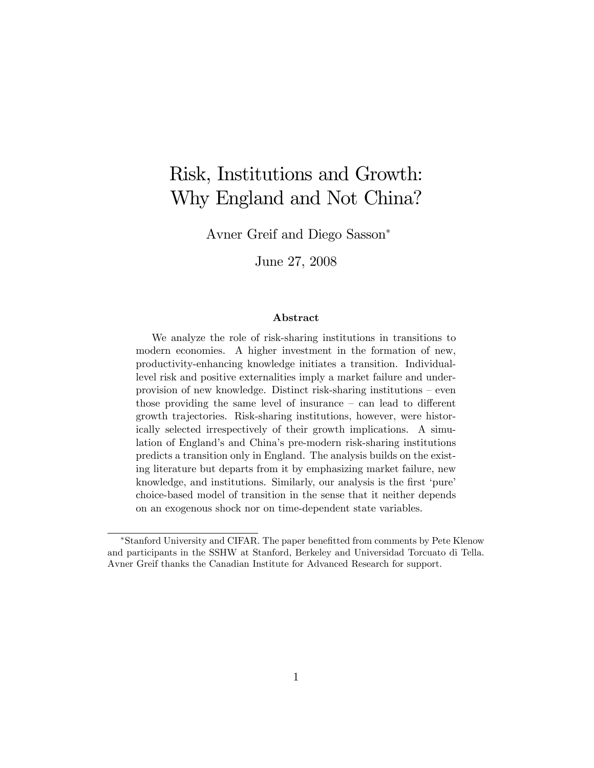# Risk, Institutions and Growth: Why England and Not China?

Avner Greif and Diego Sasson

June 27, 2008

#### Abstract

We analyze the role of risk-sharing institutions in transitions to modern economies. A higher investment in the formation of new, productivity-enhancing knowledge initiates a transition. Individuallevel risk and positive externalities imply a market failure and underprovision of new knowledge. Distinct risk-sharing institutions  $-\neq$ even those providing the same level of insurance  $-\text{ can lead to different}$ growth trajectories. Risk-sharing institutions, however, were historically selected irrespectively of their growth implications. A simulation of England's and China's pre-modern risk-sharing institutions predicts a transition only in England. The analysis builds on the existing literature but departs from it by emphasizing market failure, new knowledge, and institutions. Similarly, our analysis is the first 'pure' choice-based model of transition in the sense that it neither depends on an exogenous shock nor on time-dependent state variables.

<sup>\*</sup>Stanford University and CIFAR. The paper benefitted from comments by Pete Klenow and participants in the SSHW at Stanford, Berkeley and Universidad Torcuato di Tella. Avner Greif thanks the Canadian Institute for Advanced Research for support.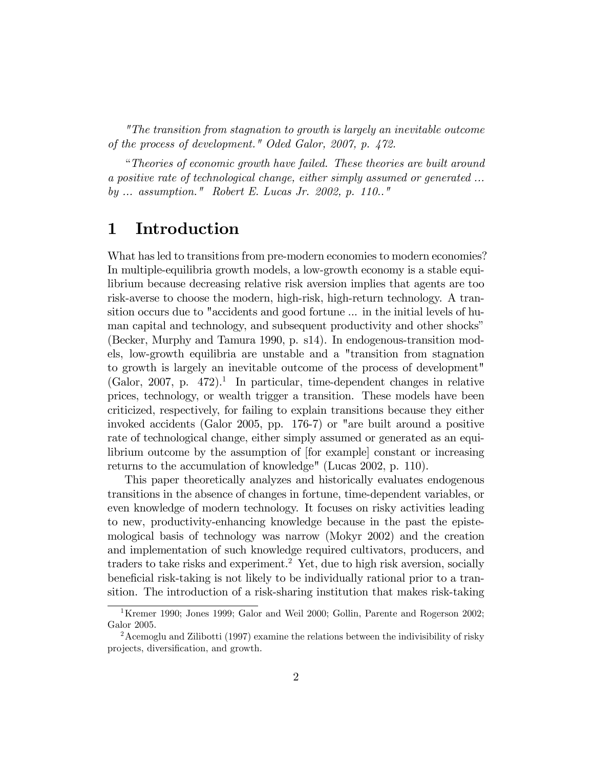"The transition from stagnation to growth is largely an inevitable outcome of the process of development." Oded Galor, 2007, p. 472.

ìTheories of economic growth have failed. These theories are built around a positive rate of technological change, either simply assumed or generated ... by ... assumption." Robert E. Lucas Jr. 2002, p. 110.."

### 1 Introduction

What has led to transitions from pre-modern economies to modern economies? In multiple-equilibria growth models, a low-growth economy is a stable equilibrium because decreasing relative risk aversion implies that agents are too risk-averse to choose the modern, high-risk, high-return technology. A transition occurs due to "accidents and good fortune ... in the initial levels of human capital and technology, and subsequent productivity and other shocks<sup>"</sup> (Becker, Murphy and Tamura 1990, p. s14). In endogenous-transition models, low-growth equilibria are unstable and a "transition from stagnation to growth is largely an inevitable outcome of the process of development"  $(Gabor, 2007, p. 472).$ <sup>1</sup> In particular, time-dependent changes in relative prices, technology, or wealth trigger a transition. These models have been criticized, respectively, for failing to explain transitions because they either invoked accidents (Galor 2005, pp. 176-7) or "are built around a positive rate of technological change, either simply assumed or generated as an equilibrium outcome by the assumption of [for example] constant or increasing returns to the accumulation of knowledge" (Lucas 2002, p. 110).

This paper theoretically analyzes and historically evaluates endogenous transitions in the absence of changes in fortune, time-dependent variables, or even knowledge of modern technology. It focuses on risky activities leading to new, productivity-enhancing knowledge because in the past the epistemological basis of technology was narrow (Mokyr 2002) and the creation and implementation of such knowledge required cultivators, producers, and traders to take risks and experiment.<sup>2</sup> Yet, due to high risk aversion, socially beneficial risk-taking is not likely to be individually rational prior to a transition. The introduction of a risk-sharing institution that makes risk-taking

<sup>&</sup>lt;sup>1</sup>Kremer 1990; Jones 1999; Galor and Weil 2000; Gollin, Parente and Rogerson 2002; Galor 2005.

<sup>2</sup>Acemoglu and Zilibotti (1997) examine the relations between the indivisibility of risky projects, diversification, and growth.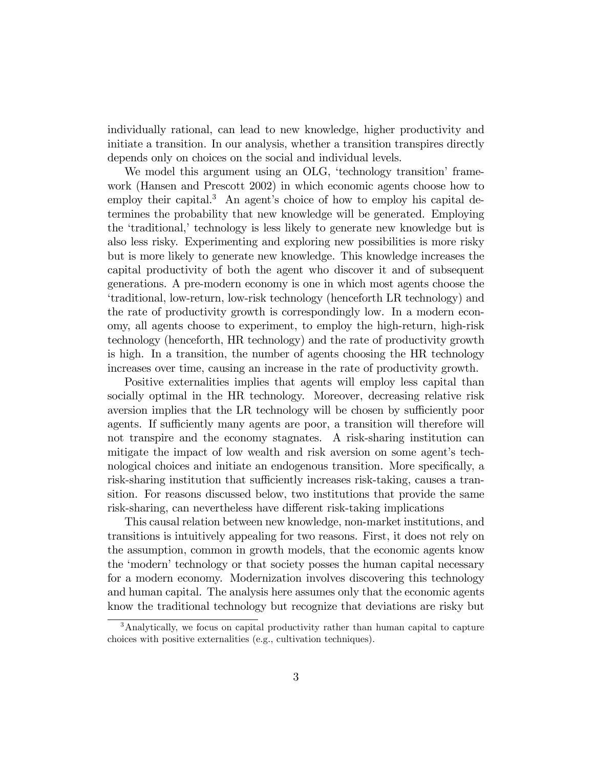individually rational, can lead to new knowledge, higher productivity and initiate a transition. In our analysis, whether a transition transpires directly depends only on choices on the social and individual levels.

We model this argument using an OLG, 'technology transition' framework (Hansen and Prescott 2002) in which economic agents choose how to employ their capital.<sup>3</sup> An agent's choice of how to employ his capital determines the probability that new knowledge will be generated. Employing the 'traditional,' technology is less likely to generate new knowledge but is also less risky. Experimenting and exploring new possibilities is more risky but is more likely to generate new knowledge. This knowledge increases the capital productivity of both the agent who discover it and of subsequent generations. A pre-modern economy is one in which most agents choose the ëtraditional, low-return, low-risk technology (henceforth LR technology) and the rate of productivity growth is correspondingly low. In a modern economy, all agents choose to experiment, to employ the high-return, high-risk technology (henceforth, HR technology) and the rate of productivity growth is high. In a transition, the number of agents choosing the HR technology increases over time, causing an increase in the rate of productivity growth.

Positive externalities implies that agents will employ less capital than socially optimal in the HR technology. Moreover, decreasing relative risk aversion implies that the LR technology will be chosen by sufficiently poor agents. If sufficiently many agents are poor, a transition will therefore will not transpire and the economy stagnates. A risk-sharing institution can mitigate the impact of low wealth and risk aversion on some agent's technological choices and initiate an endogenous transition. More specifically, a risk-sharing institution that sufficiently increases risk-taking, causes a transition. For reasons discussed below, two institutions that provide the same risk-sharing, can nevertheless have different risk-taking implications

This causal relation between new knowledge, non-market institutions, and transitions is intuitively appealing for two reasons. First, it does not rely on the assumption, common in growth models, that the economic agents know the 'modern' technology or that society posses the human capital necessary for a modern economy. Modernization involves discovering this technology and human capital. The analysis here assumes only that the economic agents know the traditional technology but recognize that deviations are risky but

<sup>3</sup>Analytically, we focus on capital productivity rather than human capital to capture choices with positive externalities (e.g., cultivation techniques).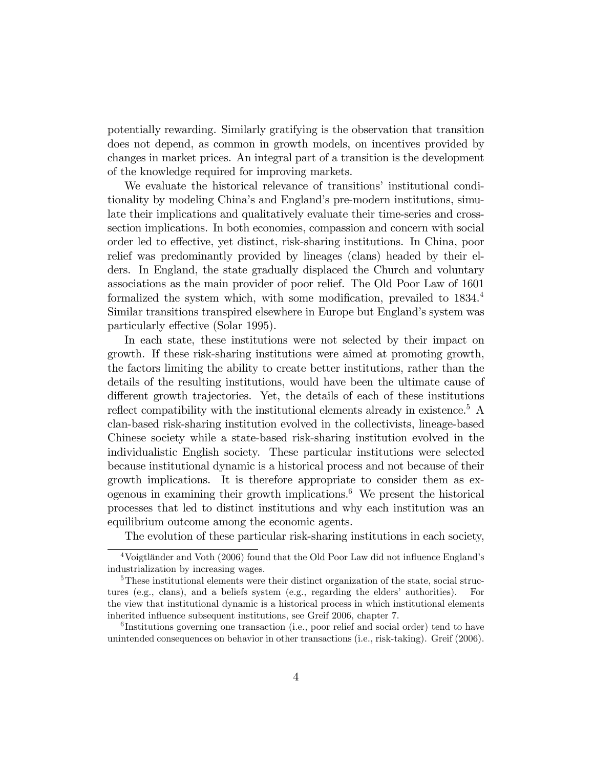potentially rewarding. Similarly gratifying is the observation that transition does not depend, as common in growth models, on incentives provided by changes in market prices. An integral part of a transition is the development of the knowledge required for improving markets.

We evaluate the historical relevance of transitions' institutional conditionality by modeling China's and England's pre-modern institutions, simulate their implications and qualitatively evaluate their time-series and crosssection implications. In both economies, compassion and concern with social order led to effective, yet distinct, risk-sharing institutions. In China, poor relief was predominantly provided by lineages (clans) headed by their elders. In England, the state gradually displaced the Church and voluntary associations as the main provider of poor relief. The Old Poor Law of 1601 formalized the system which, with some modification, prevailed to  $1834<sup>4</sup>$ Similar transitions transpired elsewhere in Europe but England's system was particularly effective (Solar 1995).

In each state, these institutions were not selected by their impact on growth. If these risk-sharing institutions were aimed at promoting growth, the factors limiting the ability to create better institutions, rather than the details of the resulting institutions, would have been the ultimate cause of different growth trajectories. Yet, the details of each of these institutions reflect compatibility with the institutional elements already in existence.<sup>5</sup> A clan-based risk-sharing institution evolved in the collectivists, lineage-based Chinese society while a state-based risk-sharing institution evolved in the individualistic English society. These particular institutions were selected because institutional dynamic is a historical process and not because of their growth implications. It is therefore appropriate to consider them as exogenous in examining their growth implications.<sup>6</sup> We present the historical processes that led to distinct institutions and why each institution was an equilibrium outcome among the economic agents.

The evolution of these particular risk-sharing institutions in each society,

 $4$ Voigtländer and Voth (2006) found that the Old Poor Law did not influence England's industrialization by increasing wages.

<sup>&</sup>lt;sup>5</sup>These institutional elements were their distinct organization of the state, social structures (e.g., clans), and a beliefs system (e.g., regarding the elders' authorities). For the view that institutional dynamic is a historical process in which institutional elements inherited influence subsequent institutions, see Greif 2006, chapter 7.

<sup>&</sup>lt;sup>6</sup>Institutions governing one transaction (i.e., poor relief and social order) tend to have unintended consequences on behavior in other transactions (i.e., risk-taking). Greif (2006).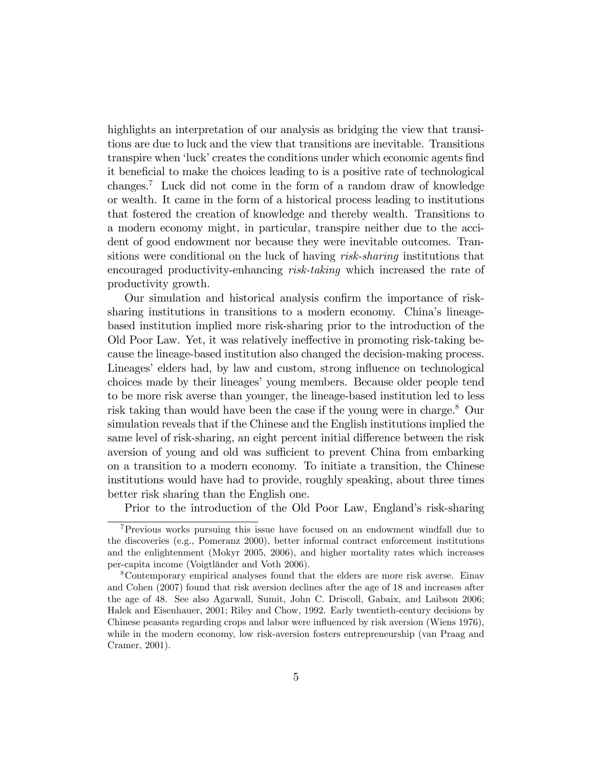highlights an interpretation of our analysis as bridging the view that transitions are due to luck and the view that transitions are inevitable. Transitions transpire when 'luck' creates the conditions under which economic agents find it beneficial to make the choices leading to is a positive rate of technological changes.<sup>7</sup> Luck did not come in the form of a random draw of knowledge or wealth. It came in the form of a historical process leading to institutions that fostered the creation of knowledge and thereby wealth. Transitions to a modern economy might, in particular, transpire neither due to the accident of good endowment nor because they were inevitable outcomes. Transitions were conditional on the luck of having risk-sharing institutions that encouraged productivity-enhancing risk-taking which increased the rate of productivity growth.

Our simulation and historical analysis confirm the importance of risksharing institutions in transitions to a modern economy. China's lineagebased institution implied more risk-sharing prior to the introduction of the Old Poor Law. Yet, it was relatively ineffective in promoting risk-taking because the lineage-based institution also changed the decision-making process. Lineages' elders had, by law and custom, strong influence on technological choices made by their lineages' young members. Because older people tend to be more risk averse than younger, the lineage-based institution led to less risk taking than would have been the case if the young were in charge.<sup>8</sup> Our simulation reveals that if the Chinese and the English institutions implied the same level of risk-sharing, an eight percent initial difference between the risk aversion of young and old was sufficient to prevent China from embarking on a transition to a modern economy. To initiate a transition, the Chinese institutions would have had to provide, roughly speaking, about three times better risk sharing than the English one.

Prior to the introduction of the Old Poor Law, England's risk-sharing

<sup>7</sup>Previous works pursuing this issue have focused on an endowment windfall due to the discoveries (e.g., Pomeranz 2000), better informal contract enforcement institutions and the enlightenment (Mokyr 2005, 2006), and higher mortality rates which increases per-capita income (Voigtländer and Voth 2006).

<sup>8</sup>Contemporary empirical analyses found that the elders are more risk averse. Einav and Cohen (2007) found that risk aversion declines after the age of 18 and increases after the age of 48. See also Agarwall, Sumit, John C. Driscoll, Gabaix, and Laibson 2006; Halek and Eisenhauer, 2001; Riley and Chow, 1992. Early twentieth-century decisions by Chinese peasants regarding crops and labor were influenced by risk aversion (Wiens 1976), while in the modern economy, low risk-aversion fosters entrepreneurship (van Praag and Cramer, 2001).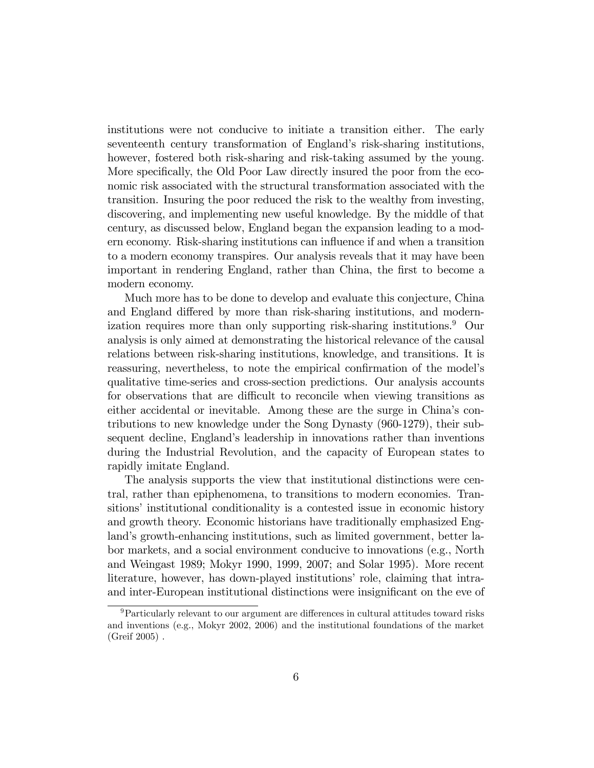institutions were not conducive to initiate a transition either. The early seventeenth century transformation of England's risk-sharing institutions, however, fostered both risk-sharing and risk-taking assumed by the young. More specifically, the Old Poor Law directly insured the poor from the economic risk associated with the structural transformation associated with the transition. Insuring the poor reduced the risk to the wealthy from investing, discovering, and implementing new useful knowledge. By the middle of that century, as discussed below, England began the expansion leading to a modern economy. Risk-sharing institutions can influence if and when a transition to a modern economy transpires. Our analysis reveals that it may have been important in rendering England, rather than China, the first to become a modern economy.

Much more has to be done to develop and evaluate this conjecture, China and England differed by more than risk-sharing institutions, and modernization requires more than only supporting risk-sharing institutions.<sup>9</sup> Our analysis is only aimed at demonstrating the historical relevance of the causal relations between risk-sharing institutions, knowledge, and transitions. It is reassuring, nevertheless, to note the empirical confirmation of the model's qualitative time-series and cross-section predictions. Our analysis accounts for observations that are difficult to reconcile when viewing transitions as either accidental or inevitable. Among these are the surge in China's contributions to new knowledge under the Song Dynasty (960-1279), their subsequent decline, England's leadership in innovations rather than inventions during the Industrial Revolution, and the capacity of European states to rapidly imitate England.

The analysis supports the view that institutional distinctions were central, rather than epiphenomena, to transitions to modern economies. Transitions' institutional conditionality is a contested issue in economic history and growth theory. Economic historians have traditionally emphasized England's growth-enhancing institutions, such as limited government, better labor markets, and a social environment conducive to innovations (e.g., North and Weingast 1989; Mokyr 1990, 1999, 2007; and Solar 1995). More recent literature, however, has down-played institutions' role, claiming that intraand inter-European institutional distinctions were insignificant on the eve of

 $9$ Particularly relevant to our argument are differences in cultural attitudes toward risks and inventions (e.g., Mokyr 2002, 2006) and the institutional foundations of the market (Greif 2005) .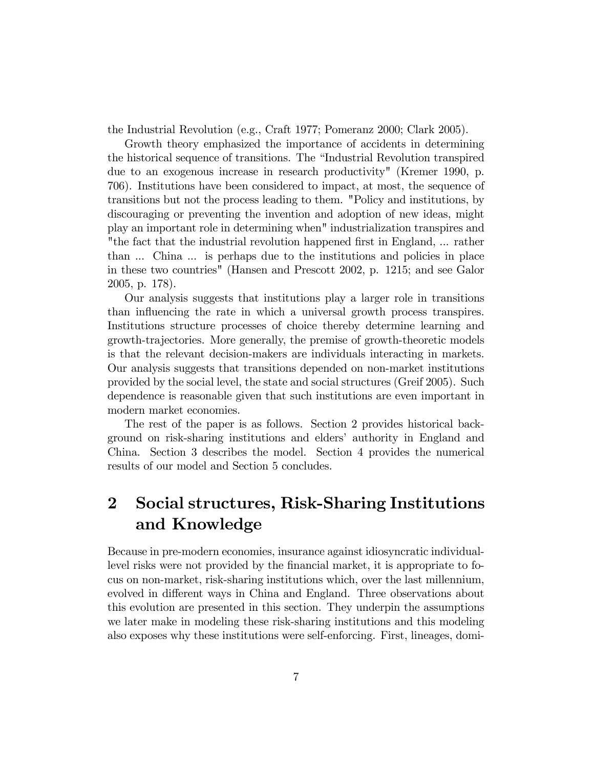the Industrial Revolution (e.g., Craft 1977; Pomeranz 2000; Clark 2005).

Growth theory emphasized the importance of accidents in determining the historical sequence of transitions. The "Industrial Revolution transpired due to an exogenous increase in research productivity" (Kremer 1990, p. 706). Institutions have been considered to impact, at most, the sequence of transitions but not the process leading to them. "Policy and institutions, by discouraging or preventing the invention and adoption of new ideas, might play an important role in determining when" industrialization transpires and "the fact that the industrial revolution happened Örst in England, ... rather than ... China ... is perhaps due to the institutions and policies in place in these two countries" (Hansen and Prescott 2002, p. 1215; and see Galor 2005, p. 178).

Our analysis suggests that institutions play a larger role in transitions than influencing the rate in which a universal growth process transpires. Institutions structure processes of choice thereby determine learning and growth-trajectories. More generally, the premise of growth-theoretic models is that the relevant decision-makers are individuals interacting in markets. Our analysis suggests that transitions depended on non-market institutions provided by the social level, the state and social structures (Greif 2005). Such dependence is reasonable given that such institutions are even important in modern market economies.

The rest of the paper is as follows. Section 2 provides historical background on risk-sharing institutions and eldersí authority in England and China. Section 3 describes the model. Section 4 provides the numerical results of our model and Section 5 concludes.

## 2 Social structures, Risk-Sharing Institutions and Knowledge

Because in pre-modern economies, insurance against idiosyncratic individuallevel risks were not provided by the financial market, it is appropriate to focus on non-market, risk-sharing institutions which, over the last millennium, evolved in different ways in China and England. Three observations about this evolution are presented in this section. They underpin the assumptions we later make in modeling these risk-sharing institutions and this modeling also exposes why these institutions were self-enforcing. First, lineages, domi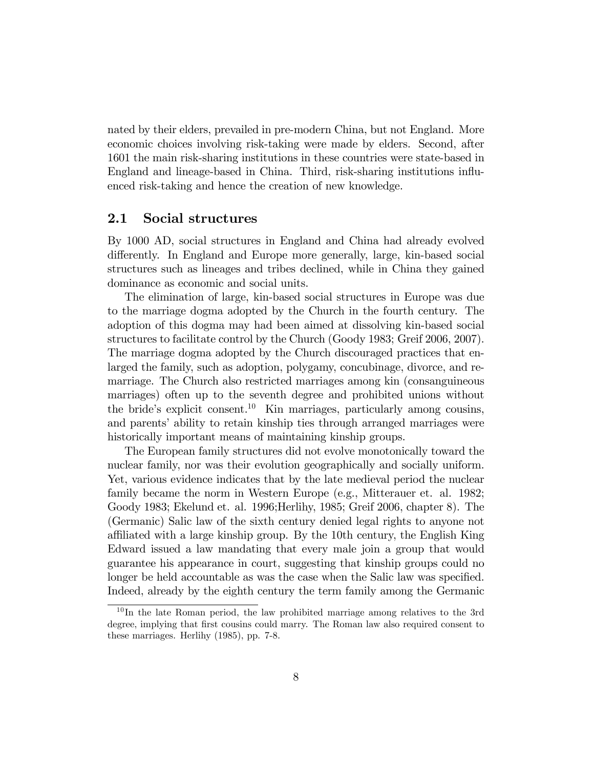nated by their elders, prevailed in pre-modern China, but not England. More economic choices involving risk-taking were made by elders. Second, after 1601 the main risk-sharing institutions in these countries were state-based in England and lineage-based in China. Third, risk-sharing institutions ináuenced risk-taking and hence the creation of new knowledge.

### 2.1 Social structures

By 1000 AD, social structures in England and China had already evolved differently. In England and Europe more generally, large, kin-based social structures such as lineages and tribes declined, while in China they gained dominance as economic and social units.

The elimination of large, kin-based social structures in Europe was due to the marriage dogma adopted by the Church in the fourth century. The adoption of this dogma may had been aimed at dissolving kin-based social structures to facilitate control by the Church (Goody 1983; Greif 2006, 2007). The marriage dogma adopted by the Church discouraged practices that enlarged the family, such as adoption, polygamy, concubinage, divorce, and remarriage. The Church also restricted marriages among kin (consanguineous marriages) often up to the seventh degree and prohibited unions without the bride's explicit consent.<sup>10</sup> Kin marriages, particularly among cousins, and parents' ability to retain kinship ties through arranged marriages were historically important means of maintaining kinship groups.

The European family structures did not evolve monotonically toward the nuclear family, nor was their evolution geographically and socially uniform. Yet, various evidence indicates that by the late medieval period the nuclear family became the norm in Western Europe (e.g., Mitterauer et. al. 1982; Goody 1983; Ekelund et. al. 1996;Herlihy, 1985; Greif 2006, chapter 8). The (Germanic) Salic law of the sixth century denied legal rights to anyone not affiliated with a large kinship group. By the 10th century, the English King Edward issued a law mandating that every male join a group that would guarantee his appearance in court, suggesting that kinship groups could no longer be held accountable as was the case when the Salic law was specified. Indeed, already by the eighth century the term family among the Germanic

<sup>&</sup>lt;sup>10</sup>In the late Roman period, the law prohibited marriage among relatives to the 3rd degree, implying that first cousins could marry. The Roman law also required consent to these marriages. Herlihy (1985), pp. 7-8.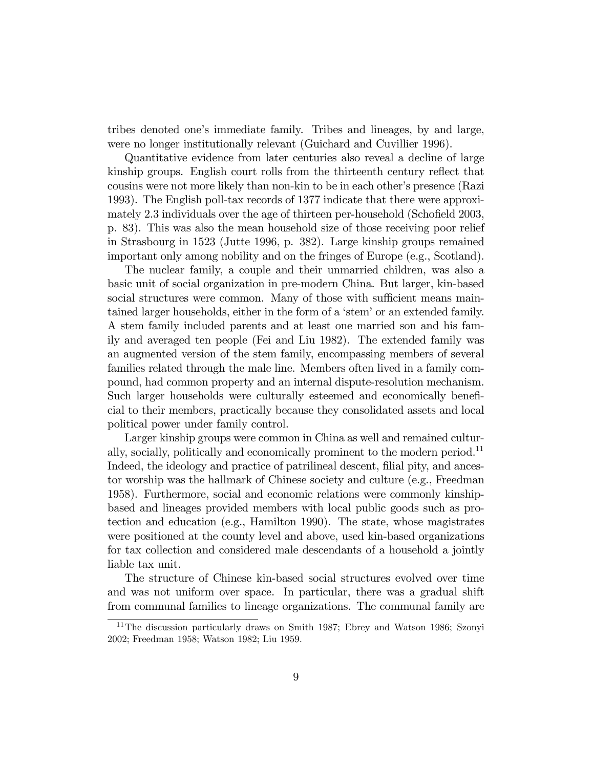tribes denoted one's immediate family. Tribes and lineages, by and large, were no longer institutionally relevant (Guichard and Cuvillier 1996).

Quantitative evidence from later centuries also reveal a decline of large kinship groups. English court rolls from the thirteenth century reflect that cousins were not more likely than non-kin to be in each other's presence (Razi 1993). The English poll-tax records of 1377 indicate that there were approximately 2.3 individuals over the age of thirteen per-household (Schofield 2003, p. 83). This was also the mean household size of those receiving poor relief in Strasbourg in 1523 (Jutte 1996, p. 382). Large kinship groups remained important only among nobility and on the fringes of Europe (e.g., Scotland).

The nuclear family, a couple and their unmarried children, was also a basic unit of social organization in pre-modern China. But larger, kin-based social structures were common. Many of those with sufficient means maintained larger households, either in the form of a 'stem' or an extended family. A stem family included parents and at least one married son and his family and averaged ten people (Fei and Liu 1982). The extended family was an augmented version of the stem family, encompassing members of several families related through the male line. Members often lived in a family compound, had common property and an internal dispute-resolution mechanism. Such larger households were culturally esteemed and economically beneÖcial to their members, practically because they consolidated assets and local political power under family control.

Larger kinship groups were common in China as well and remained culturally, socially, politically and economically prominent to the modern period.<sup>11</sup> Indeed, the ideology and practice of patrilineal descent, filial pity, and ancestor worship was the hallmark of Chinese society and culture (e.g., Freedman 1958). Furthermore, social and economic relations were commonly kinshipbased and lineages provided members with local public goods such as protection and education (e.g., Hamilton 1990). The state, whose magistrates were positioned at the county level and above, used kin-based organizations for tax collection and considered male descendants of a household a jointly liable tax unit.

The structure of Chinese kin-based social structures evolved over time and was not uniform over space. In particular, there was a gradual shift from communal families to lineage organizations. The communal family are

<sup>&</sup>lt;sup>11</sup>The discussion particularly draws on Smith 1987; Ebrey and Watson 1986; Szonyi 2002; Freedman 1958; Watson 1982; Liu 1959.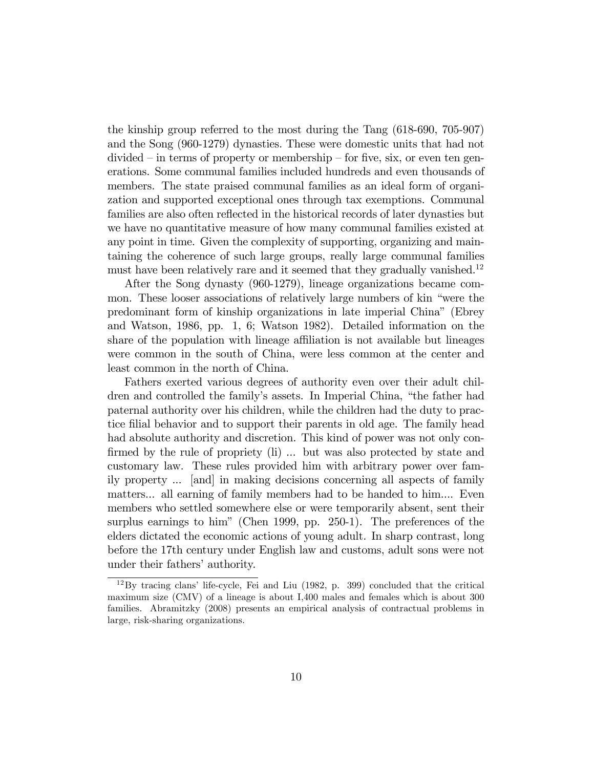the kinship group referred to the most during the Tang (618-690, 705-907) and the Song (960-1279) dynasties. These were domestic units that had not  $divided - in terms of property or membership - for five, six, or even ten gen$ erations. Some communal families included hundreds and even thousands of members. The state praised communal families as an ideal form of organization and supported exceptional ones through tax exemptions. Communal families are also often reflected in the historical records of later dynasties but we have no quantitative measure of how many communal families existed at any point in time. Given the complexity of supporting, organizing and maintaining the coherence of such large groups, really large communal families must have been relatively rare and it seemed that they gradually vanished.<sup>12</sup>

After the Song dynasty (960-1279), lineage organizations became common. These looser associations of relatively large numbers of kin "were the predominant form of kinship organizations in late imperial Chinaî (Ebrey and Watson, 1986, pp. 1, 6; Watson 1982). Detailed information on the share of the population with lineage affiliation is not available but lineages were common in the south of China, were less common at the center and least common in the north of China.

Fathers exerted various degrees of authority even over their adult children and controlled the family's assets. In Imperial China, "the father had paternal authority over his children, while the children had the duty to practice filial behavior and to support their parents in old age. The family head had absolute authority and discretion. This kind of power was not only confirmed by the rule of propriety (li) ... but was also protected by state and customary law. These rules provided him with arbitrary power over family property ... [and] in making decisions concerning all aspects of family matters... all earning of family members had to be handed to him.... Even members who settled somewhere else or were temporarily absent, sent their surplus earnings to him" (Chen 1999, pp. 250-1). The preferences of the elders dictated the economic actions of young adult. In sharp contrast, long before the 17th century under English law and customs, adult sons were not under their fathers' authority.

 $12\,\text{By tracing elans' life-cycle, Fei and Liu (1982, p. 399) concluded that the critical$ maximum size (CMV) of a lineage is about I,400 males and females which is about 300 families. Abramitzky (2008) presents an empirical analysis of contractual problems in large, risk-sharing organizations.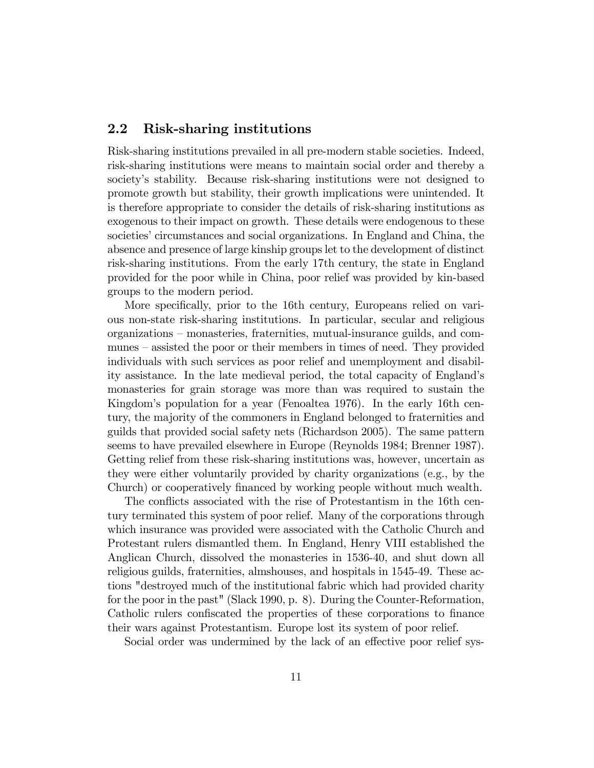### 2.2 Risk-sharing institutions

Risk-sharing institutions prevailed in all pre-modern stable societies. Indeed, risk-sharing institutions were means to maintain social order and thereby a society's stability. Because risk-sharing institutions were not designed to promote growth but stability, their growth implications were unintended. It is therefore appropriate to consider the details of risk-sharing institutions as exogenous to their impact on growth. These details were endogenous to these societies' circumstances and social organizations. In England and China, the absence and presence of large kinship groups let to the development of distinct risk-sharing institutions. From the early 17th century, the state in England provided for the poor while in China, poor relief was provided by kin-based groups to the modern period.

More specifically, prior to the 16th century, Europeans relied on various non-state risk-sharing institutions. In particular, secular and religious organizations – monasteries, fraternities, mutual-insurance guilds, and communes – assisted the poor or their members in times of need. They provided individuals with such services as poor relief and unemployment and disability assistance. In the late medieval period, the total capacity of Englandís monasteries for grain storage was more than was required to sustain the Kingdom's population for a year (Fenoaltea 1976). In the early 16th century, the majority of the commoners in England belonged to fraternities and guilds that provided social safety nets (Richardson 2005). The same pattern seems to have prevailed elsewhere in Europe (Reynolds 1984; Brenner 1987). Getting relief from these risk-sharing institutions was, however, uncertain as they were either voluntarily provided by charity organizations (e.g., by the Church) or cooperatively Önanced by working people without much wealth.

The conflicts associated with the rise of Protestantism in the 16th century terminated this system of poor relief. Many of the corporations through which insurance was provided were associated with the Catholic Church and Protestant rulers dismantled them. In England, Henry VIII established the Anglican Church, dissolved the monasteries in 1536-40, and shut down all religious guilds, fraternities, almshouses, and hospitals in 1545-49. These actions "destroyed much of the institutional fabric which had provided charity for the poor in the past" (Slack 1990, p. 8). During the Counter-Reformation, Catholic rulers confiscated the properties of these corporations to finance their wars against Protestantism. Europe lost its system of poor relief.

Social order was undermined by the lack of an effective poor relief sys-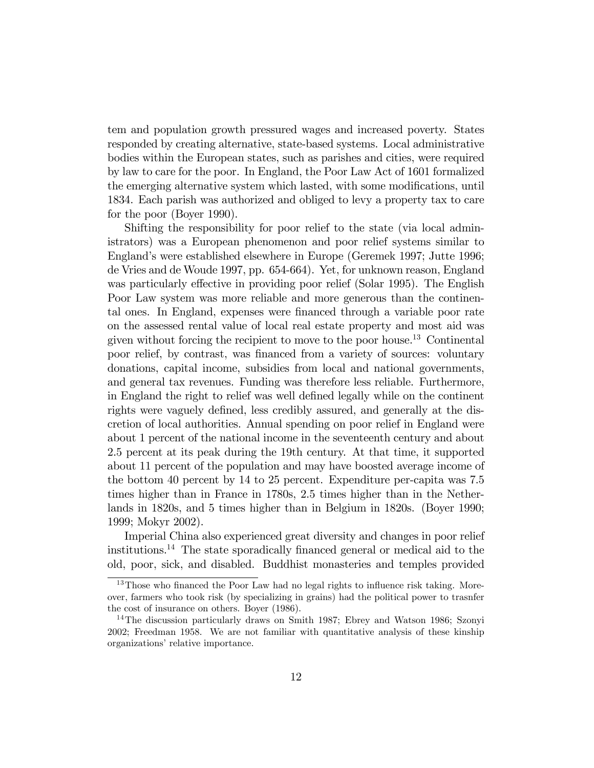tem and population growth pressured wages and increased poverty. States responded by creating alternative, state-based systems. Local administrative bodies within the European states, such as parishes and cities, were required by law to care for the poor. In England, the Poor Law Act of 1601 formalized the emerging alternative system which lasted, with some modifications, until 1834. Each parish was authorized and obliged to levy a property tax to care for the poor (Boyer 1990).

Shifting the responsibility for poor relief to the state (via local administrators) was a European phenomenon and poor relief systems similar to Englandís were established elsewhere in Europe (Geremek 1997; Jutte 1996; de Vries and de Woude 1997, pp. 654-664). Yet, for unknown reason, England was particularly effective in providing poor relief (Solar 1995). The English Poor Law system was more reliable and more generous than the continental ones. In England, expenses were financed through a variable poor rate on the assessed rental value of local real estate property and most aid was given without forcing the recipient to move to the poor house.<sup>13</sup> Continental poor relief, by contrast, was financed from a variety of sources: voluntary donations, capital income, subsidies from local and national governments, and general tax revenues. Funding was therefore less reliable. Furthermore, in England the right to relief was well defined legally while on the continent rights were vaguely defined, less credibly assured, and generally at the discretion of local authorities. Annual spending on poor relief in England were about 1 percent of the national income in the seventeenth century and about 2.5 percent at its peak during the 19th century. At that time, it supported about 11 percent of the population and may have boosted average income of the bottom 40 percent by 14 to 25 percent. Expenditure per-capita was 7.5 times higher than in France in 1780s, 2.5 times higher than in the Netherlands in 1820s, and 5 times higher than in Belgium in 1820s. (Boyer 1990; 1999; Mokyr 2002).

Imperial China also experienced great diversity and changes in poor relief institutions.<sup>14</sup> The state sporadically financed general or medical aid to the old, poor, sick, and disabled. Buddhist monasteries and temples provided

 $13$ Those who financed the Poor Law had no legal rights to influence risk taking. Moreover, farmers who took risk (by specializing in grains) had the political power to trasnfer the cost of insurance on others. Boyer (1986).

<sup>14</sup>The discussion particularly draws on Smith 1987; Ebrey and Watson 1986; Szonyi 2002; Freedman 1958. We are not familiar with quantitative analysis of these kinship organizations' relative importance.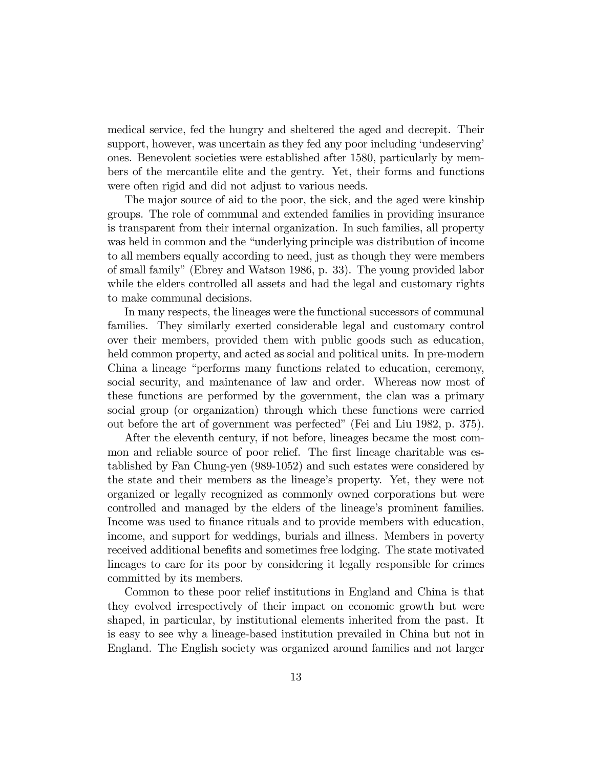medical service, fed the hungry and sheltered the aged and decrepit. Their support, however, was uncertain as they fed any poor including 'undeserving' ones. Benevolent societies were established after 1580, particularly by members of the mercantile elite and the gentry. Yet, their forms and functions were often rigid and did not adjust to various needs.

The major source of aid to the poor, the sick, and the aged were kinship groups. The role of communal and extended families in providing insurance is transparent from their internal organization. In such families, all property was held in common and the "underlying principle was distribution of income to all members equally according to need, just as though they were members of small familyî(Ebrey and Watson 1986, p. 33). The young provided labor while the elders controlled all assets and had the legal and customary rights to make communal decisions.

In many respects, the lineages were the functional successors of communal families. They similarly exerted considerable legal and customary control over their members, provided them with public goods such as education, held common property, and acted as social and political units. In pre-modern China a lineage "performs many functions related to education, ceremony, social security, and maintenance of law and order. Whereas now most of these functions are performed by the government, the clan was a primary social group (or organization) through which these functions were carried out before the art of government was perfected" (Fei and Liu 1982, p. 375).

After the eleventh century, if not before, lineages became the most common and reliable source of poor relief. The first lineage charitable was established by Fan Chung-yen (989-1052) and such estates were considered by the state and their members as the lineageís property. Yet, they were not organized or legally recognized as commonly owned corporations but were controlled and managed by the elders of the lineage's prominent families. Income was used to finance rituals and to provide members with education, income, and support for weddings, burials and illness. Members in poverty received additional benefits and sometimes free lodging. The state motivated lineages to care for its poor by considering it legally responsible for crimes committed by its members.

Common to these poor relief institutions in England and China is that they evolved irrespectively of their impact on economic growth but were shaped, in particular, by institutional elements inherited from the past. It is easy to see why a lineage-based institution prevailed in China but not in England. The English society was organized around families and not larger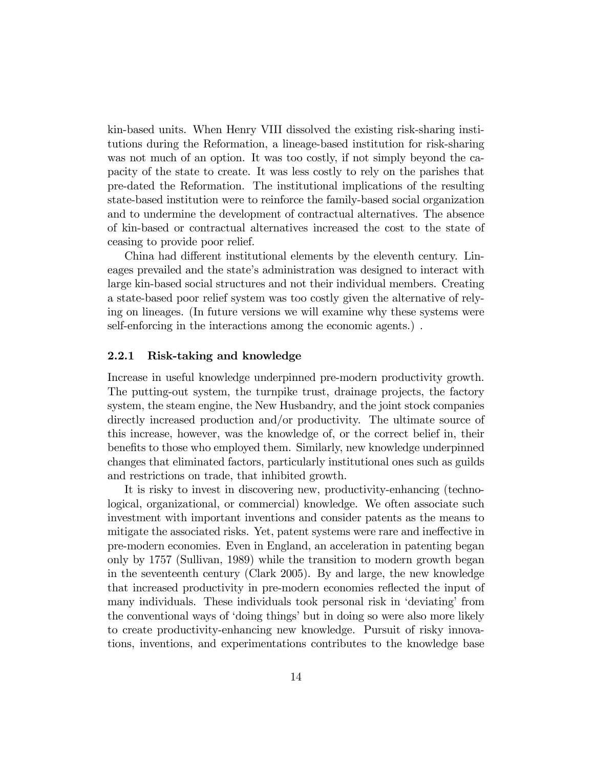kin-based units. When Henry VIII dissolved the existing risk-sharing institutions during the Reformation, a lineage-based institution for risk-sharing was not much of an option. It was too costly, if not simply beyond the capacity of the state to create. It was less costly to rely on the parishes that pre-dated the Reformation. The institutional implications of the resulting state-based institution were to reinforce the family-based social organization and to undermine the development of contractual alternatives. The absence of kin-based or contractual alternatives increased the cost to the state of ceasing to provide poor relief.

China had different institutional elements by the eleventh century. Lineages prevailed and the state's administration was designed to interact with large kin-based social structures and not their individual members. Creating a state-based poor relief system was too costly given the alternative of relying on lineages. (In future versions we will examine why these systems were self-enforcing in the interactions among the economic agents.) .

#### 2.2.1 Risk-taking and knowledge

Increase in useful knowledge underpinned pre-modern productivity growth. The putting-out system, the turnpike trust, drainage projects, the factory system, the steam engine, the New Husbandry, and the joint stock companies directly increased production and/or productivity. The ultimate source of this increase, however, was the knowledge of, or the correct belief in, their benefits to those who employed them. Similarly, new knowledge underpinned changes that eliminated factors, particularly institutional ones such as guilds and restrictions on trade, that inhibited growth.

It is risky to invest in discovering new, productivity-enhancing (technological, organizational, or commercial) knowledge. We often associate such investment with important inventions and consider patents as the means to mitigate the associated risks. Yet, patent systems were rare and ineffective in pre-modern economies. Even in England, an acceleration in patenting began only by 1757 (Sullivan, 1989) while the transition to modern growth began in the seventeenth century (Clark 2005). By and large, the new knowledge that increased productivity in pre-modern economies reflected the input of many individuals. These individuals took personal risk in 'deviating' from the conventional ways of 'doing things' but in doing so were also more likely to create productivity-enhancing new knowledge. Pursuit of risky innovations, inventions, and experimentations contributes to the knowledge base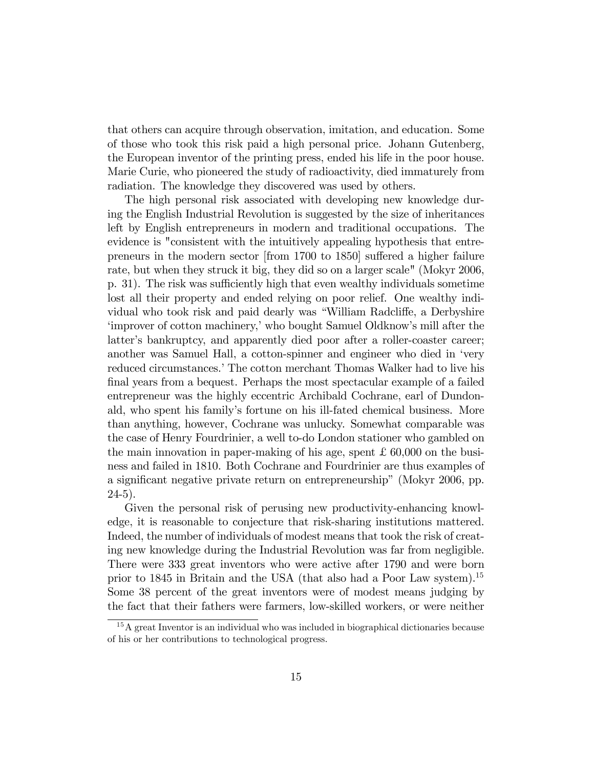that others can acquire through observation, imitation, and education. Some of those who took this risk paid a high personal price. Johann Gutenberg, the European inventor of the printing press, ended his life in the poor house. Marie Curie, who pioneered the study of radioactivity, died immaturely from radiation. The knowledge they discovered was used by others.

The high personal risk associated with developing new knowledge during the English Industrial Revolution is suggested by the size of inheritances left by English entrepreneurs in modern and traditional occupations. The evidence is "consistent with the intuitively appealing hypothesis that entrepreneurs in the modern sector  $[from 1700 to 1850]$  suffered a higher failure rate, but when they struck it big, they did so on a larger scale" (Mokyr 2006, p. 31). The risk was sufficiently high that even wealthy individuals sometime lost all their property and ended relying on poor relief. One wealthy individual who took risk and paid dearly was "William Radcliffe, a Derbyshire 'improver of cotton machinery,' who bought Samuel Oldknow's mill after the latter's bankruptcy, and apparently died poor after a roller-coaster career; another was Samuel Hall, a cotton-spinner and engineer who died in 'very reduced circumstances.<sup>†</sup> The cotton merchant Thomas Walker had to live his final years from a bequest. Perhaps the most spectacular example of a failed entrepreneur was the highly eccentric Archibald Cochrane, earl of Dundonald, who spent his familyís fortune on his ill-fated chemical business. More than anything, however, Cochrane was unlucky. Somewhat comparable was the case of Henry Fourdrinier, a well to-do London stationer who gambled on the main innovation in paper-making of his age, spent £ 60,000 on the business and failed in 1810. Both Cochrane and Fourdrinier are thus examples of a significant negative private return on entrepreneurship" (Mokyr 2006, pp.  $24-5$ ).

Given the personal risk of perusing new productivity-enhancing knowledge, it is reasonable to conjecture that risk-sharing institutions mattered. Indeed, the number of individuals of modest means that took the risk of creating new knowledge during the Industrial Revolution was far from negligible. There were 333 great inventors who were active after 1790 and were born prior to 1845 in Britain and the USA (that also had a Poor Law system).<sup>15</sup> Some 38 percent of the great inventors were of modest means judging by the fact that their fathers were farmers, low-skilled workers, or were neither

<sup>15</sup>A great Inventor is an individual who was included in biographical dictionaries because of his or her contributions to technological progress.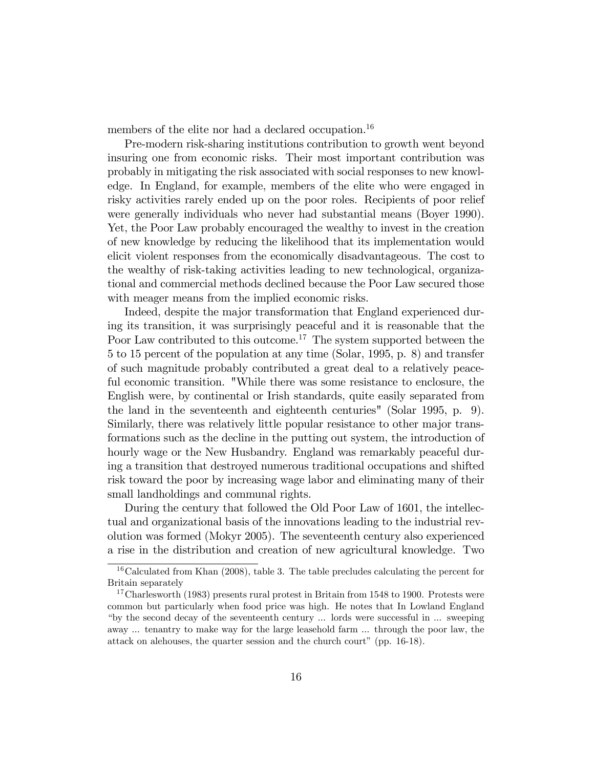members of the elite nor had a declared occupation.<sup>16</sup>

Pre-modern risk-sharing institutions contribution to growth went beyond insuring one from economic risks. Their most important contribution was probably in mitigating the risk associated with social responses to new knowledge. In England, for example, members of the elite who were engaged in risky activities rarely ended up on the poor roles. Recipients of poor relief were generally individuals who never had substantial means (Boyer 1990). Yet, the Poor Law probably encouraged the wealthy to invest in the creation of new knowledge by reducing the likelihood that its implementation would elicit violent responses from the economically disadvantageous. The cost to the wealthy of risk-taking activities leading to new technological, organizational and commercial methods declined because the Poor Law secured those with meager means from the implied economic risks.

Indeed, despite the major transformation that England experienced during its transition, it was surprisingly peaceful and it is reasonable that the Poor Law contributed to this outcome.<sup>17</sup> The system supported between the 5 to 15 percent of the population at any time (Solar, 1995, p. 8) and transfer of such magnitude probably contributed a great deal to a relatively peaceful economic transition. "While there was some resistance to enclosure, the English were, by continental or Irish standards, quite easily separated from the land in the seventeenth and eighteenth centuries" (Solar 1995, p. 9). Similarly, there was relatively little popular resistance to other major transformations such as the decline in the putting out system, the introduction of hourly wage or the New Husbandry. England was remarkably peaceful during a transition that destroyed numerous traditional occupations and shifted risk toward the poor by increasing wage labor and eliminating many of their small landholdings and communal rights.

During the century that followed the Old Poor Law of 1601, the intellectual and organizational basis of the innovations leading to the industrial revolution was formed (Mokyr 2005). The seventeenth century also experienced a rise in the distribution and creation of new agricultural knowledge. Two

 $16$ Calculated from Khan (2008), table 3. The table precludes calculating the percent for Britain separately

<sup>&</sup>lt;sup>17</sup>Charlesworth (1983) presents rural protest in Britain from 1548 to 1900. Protests were common but particularly when food price was high. He notes that In Lowland England ìby the second decay of the seventeenth century ... lords were successful in ... sweeping away ... tenantry to make way for the large leasehold farm ... through the poor law, the attack on alehouses, the quarter session and the church court" (pp.  $16-18$ ).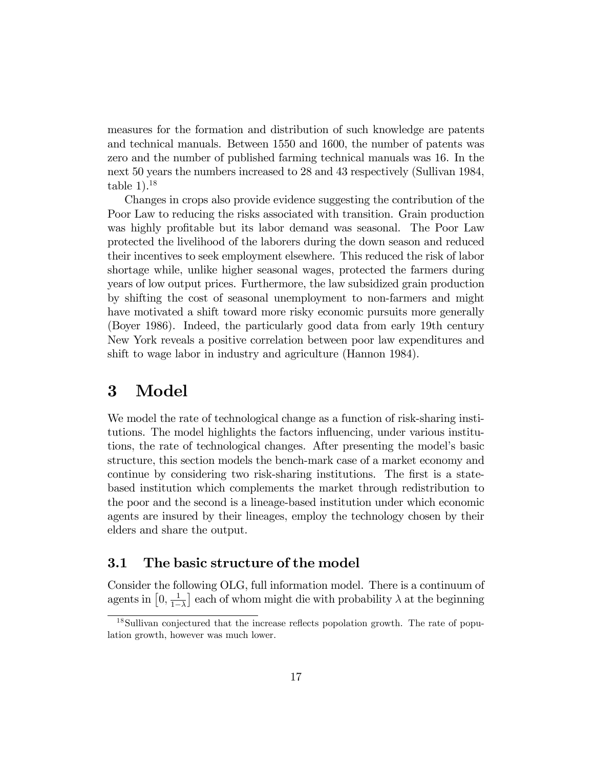measures for the formation and distribution of such knowledge are patents and technical manuals. Between 1550 and 1600, the number of patents was zero and the number of published farming technical manuals was 16. In the next 50 years the numbers increased to 28 and 43 respectively (Sullivan 1984, table  $1$ ).<sup>18</sup>

Changes in crops also provide evidence suggesting the contribution of the Poor Law to reducing the risks associated with transition. Grain production was highly profitable but its labor demand was seasonal. The Poor Law protected the livelihood of the laborers during the down season and reduced their incentives to seek employment elsewhere. This reduced the risk of labor shortage while, unlike higher seasonal wages, protected the farmers during years of low output prices. Furthermore, the law subsidized grain production by shifting the cost of seasonal unemployment to non-farmers and might have motivated a shift toward more risky economic pursuits more generally (Boyer 1986). Indeed, the particularly good data from early 19th century New York reveals a positive correlation between poor law expenditures and shift to wage labor in industry and agriculture (Hannon 1984).

### 3 Model

We model the rate of technological change as a function of risk-sharing institutions. The model highlights the factors influencing, under various institutions, the rate of technological changes. After presenting the modelís basic structure, this section models the bench-mark case of a market economy and continue by considering two risk-sharing institutions. The first is a statebased institution which complements the market through redistribution to the poor and the second is a lineage-based institution under which economic agents are insured by their lineages, employ the technology chosen by their elders and share the output.

### 3.1 The basic structure of the model

Consider the following OLG, full information model. There is a continuum of agents in  $\left[0, \frac{1}{1 -}\right]$  $1-\lambda$ each of whom might die with probability  $\lambda$  at the beginning

<sup>&</sup>lt;sup>18</sup>Sullivan conjectured that the increase reflects popolation growth. The rate of population growth, however was much lower.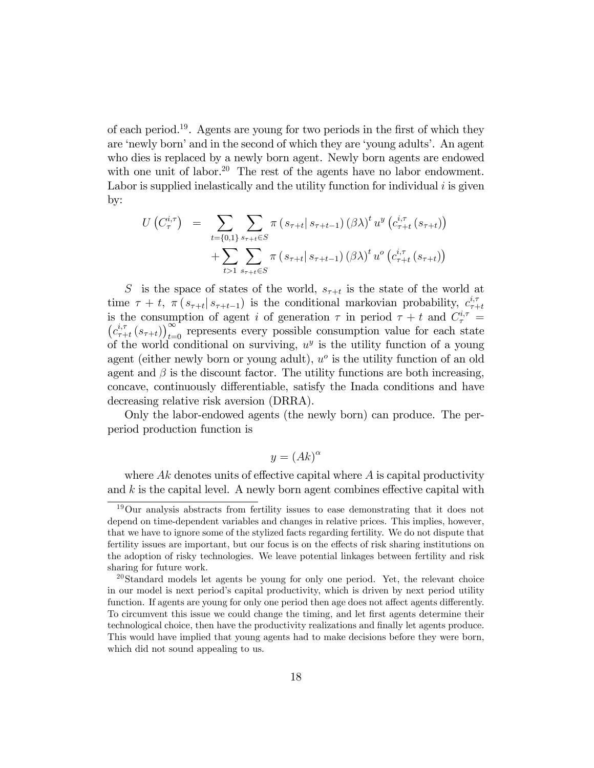of each period.<sup>19</sup>. Agents are young for two periods in the first of which they are 'newly born' and in the second of which they are 'young adults'. An agent who dies is replaced by a newly born agent. Newly born agents are endowed with one unit of labor.<sup>20</sup> The rest of the agents have no labor endowment. Labor is supplied inelastically and the utility function for individual  $i$  is given by:

$$
U(C_{\tau}^{i,\tau}) = \sum_{t=\{0,1\}} \sum_{s_{\tau+t} \in S} \pi (s_{\tau+t} | s_{\tau+t-1}) (\beta \lambda)^{t} u^{y} (c_{\tau+t}^{i,\tau} (s_{\tau+t})) + \sum_{t>1} \sum_{s_{\tau+t} \in S} \pi (s_{\tau+t} | s_{\tau+t-1}) (\beta \lambda)^{t} u^{o} (c_{\tau+t}^{i,\tau} (s_{\tau+t}))
$$

S is the space of states of the world,  $s_{\tau+t}$  is the state of the world at time  $\tau + t$ ,  $\pi(s_{\tau+t} | s_{\tau+t-1})$  is the conditional markovian probability,  $c_{\tau+1}^{i,\tau}$  $\tau+t$ is the consumption of agent *i* of generation  $\tau$  in period  $\tau + t$  and  $C_{\tau}^{i,\tau} = (c_{\tau+t}^{i,\tau}(s_{\tau+t}))_{t=0}^{\infty}$  represents every possible consumption value for each state  $\left( s_{\tau+t} \right)_{t=0}^{\infty}$  represents every possible consumption value for each state of the world conditional on surviving,  $u^y$  is the utility function of a young agent (either newly born or young adult),  $u^{\circ}$  is the utility function of an old agent and  $\beta$  is the discount factor. The utility functions are both increasing, concave, continuously differentiable, satisfy the Inada conditions and have decreasing relative risk aversion (DRRA).

Only the labor-endowed agents (the newly born) can produce. The perperiod production function is

$$
y = (Ak)^{\alpha}
$$

where  $Ak$  denotes units of effective capital where  $A$  is capital productivity and  $k$  is the capital level. A newly born agent combines effective capital with

<sup>19</sup>Our analysis abstracts from fertility issues to ease demonstrating that it does not depend on time-dependent variables and changes in relative prices. This implies, however, that we have to ignore some of the stylized facts regarding fertility. We do not dispute that fertility issues are important, but our focus is on the effects of risk sharing institutions on the adoption of risky technologies. We leave potential linkages between fertility and risk sharing for future work.

<sup>20</sup>Standard models let agents be young for only one period. Yet, the relevant choice in our model is next period's capital productivity, which is driven by next period utility function. If agents are young for only one period then age does not affect agents differently. To circumvent this issue we could change the timing, and let first agents determine their technological choice, then have the productivity realizations and finally let agents produce. This would have implied that young agents had to make decisions before they were born, which did not sound appealing to us.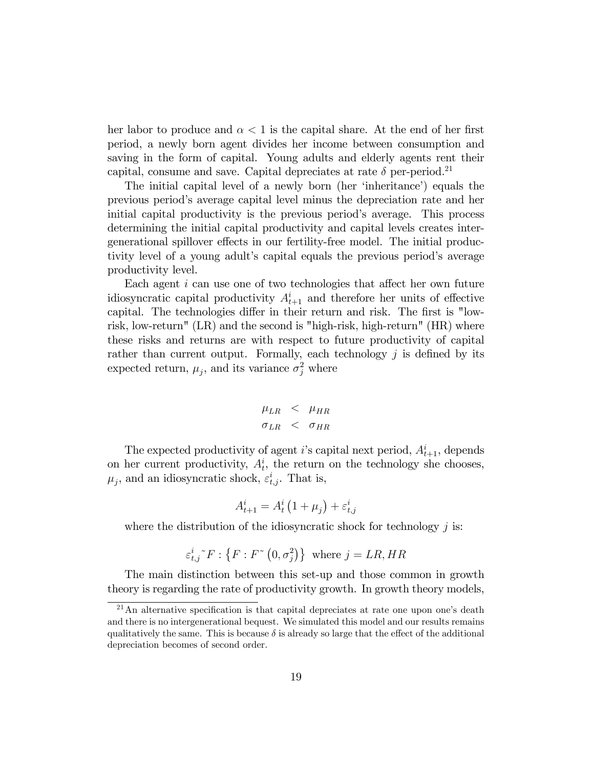her labor to produce and  $\alpha < 1$  is the capital share. At the end of her first period, a newly born agent divides her income between consumption and saving in the form of capital. Young adults and elderly agents rent their capital, consume and save. Capital depreciates at rate  $\delta$  per-period.<sup>21</sup>

The initial capital level of a newly born (her 'inheritance') equals the previous periodís average capital level minus the depreciation rate and her initial capital productivity is the previous period's average. This process determining the initial capital productivity and capital levels creates intergenerational spillover effects in our fertility-free model. The initial productivity level of a young adult's capital equals the previous period's average productivity level.

Each agent  $i$  can use one of two technologies that affect her own future idiosyncratic capital productivity  $A_{t+1}^i$  and therefore her units of effective capital. The technologies differ in their return and risk. The first is "lowrisk, low-return" (LR) and the second is "high-risk, high-return" (HR) where these risks and returns are with respect to future productivity of capital rather than current output. Formally, each technology  $j$  is defined by its expected return,  $\mu_j$ , and its variance  $\sigma_j^2$  where

$$
\mu_{LR} < \mu_{HR} < \sigma_{LR} < \sigma_{HR}
$$

The expected productivity of agent *i*'s capital next period,  $A_{t+1}^i$ , depends on her current productivity,  $A_t^i$ , the return on the technology she chooses,  $\mu_j$ , and an idiosyncratic shock,  $\varepsilon_{t,j}^i$ . That is,

$$
A_{t+1}^i = A_t^i \left( 1 + \mu_j \right) + \varepsilon_{t,j}^i
$$

where the distribution of the idiosyncratic shock for technology  $j$  is:

$$
\varepsilon_{t,j}^{i}{}^{\sim}F:\{F:F^{\sim}(0,\sigma_{j}^{2})\}\ \ \text{where}\ j=LR, HR
$$

The main distinction between this set-up and those common in growth theory is regarding the rate of productivity growth. In growth theory models,

 $21$ An alternative specification is that capital depreciates at rate one upon one's death and there is no intergenerational bequest. We simulated this model and our results remains qualitatively the same. This is because  $\delta$  is already so large that the effect of the additional depreciation becomes of second order.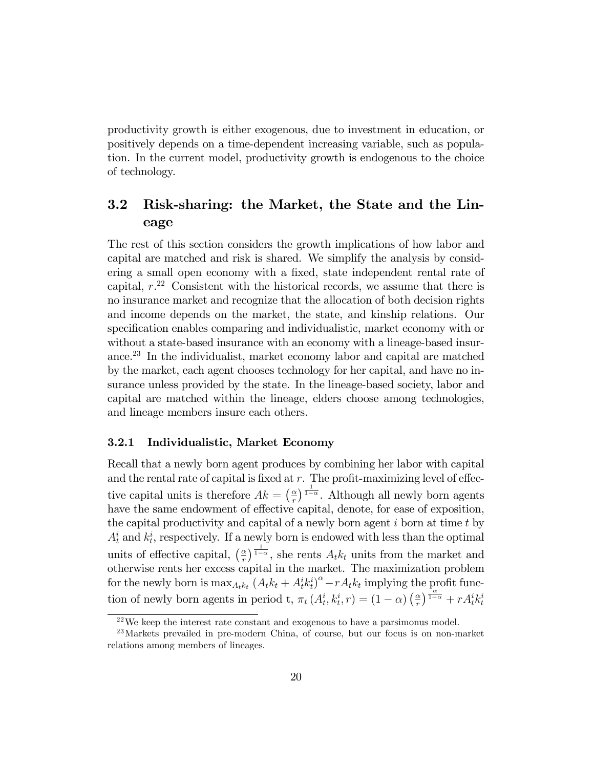productivity growth is either exogenous, due to investment in education, or positively depends on a time-dependent increasing variable, such as population. In the current model, productivity growth is endogenous to the choice of technology.

### 3.2 Risk-sharing: the Market, the State and the Lineage

The rest of this section considers the growth implications of how labor and capital are matched and risk is shared. We simplify the analysis by considering a small open economy with a fixed, state independent rental rate of capital,  $r^{22}$  Consistent with the historical records, we assume that there is no insurance market and recognize that the allocation of both decision rights and income depends on the market, the state, and kinship relations. Our specification enables comparing and individualistic, market economy with or without a state-based insurance with an economy with a lineage-based insurance.<sup>23</sup> In the individualist, market economy labor and capital are matched by the market, each agent chooses technology for her capital, and have no insurance unless provided by the state. In the lineage-based society, labor and capital are matched within the lineage, elders choose among technologies, and lineage members insure each others.

#### 3.2.1 Individualistic, Market Economy

Recall that a newly born agent produces by combining her labor with capital and the rental rate of capital is fixed at  $r$ . The profit-maximizing level of effective capital units is therefore  $Ak = \left(\frac{\alpha}{r}\right)$  $\frac{\alpha}{r}$ ) $\frac{1}{1-\alpha}$ . Although all newly born agents have the same endowment of effective capital, denote, for ease of exposition, the capital productivity and capital of a newly born agent  $i$  born at time  $t$  by  $A_t^i$  and  $k_t^i$ , respectively. If a newly born is endowed with less than the optimal units of effective capital,  $\left(\frac{\alpha}{r}\right)$  $\frac{\alpha}{r}$   $\frac{1}{1-\alpha}$ , she rents  $A_t k_t$  units from the market and otherwise rents her excess capital in the market. The maximization problem for the newly born is  $\max_{A_t k_t} (A_t k_t + A_t^i k_t^i)^{\alpha} - r A_t k_t$  implying the profit function of newly born agents in period t,  $\pi_t(A_t^i, k_t^i, r) = (1 - \alpha) \left(\frac{\alpha}{r}\right)$  $\frac{\alpha}{r}$ )  $\frac{1-\alpha}{1-\alpha}$  +  $r A_t^i k_t^i$ 

 $22$ We keep the interest rate constant and exogenous to have a parsimonus model.

<sup>23</sup>Markets prevailed in pre-modern China, of course, but our focus is on non-market relations among members of lineages.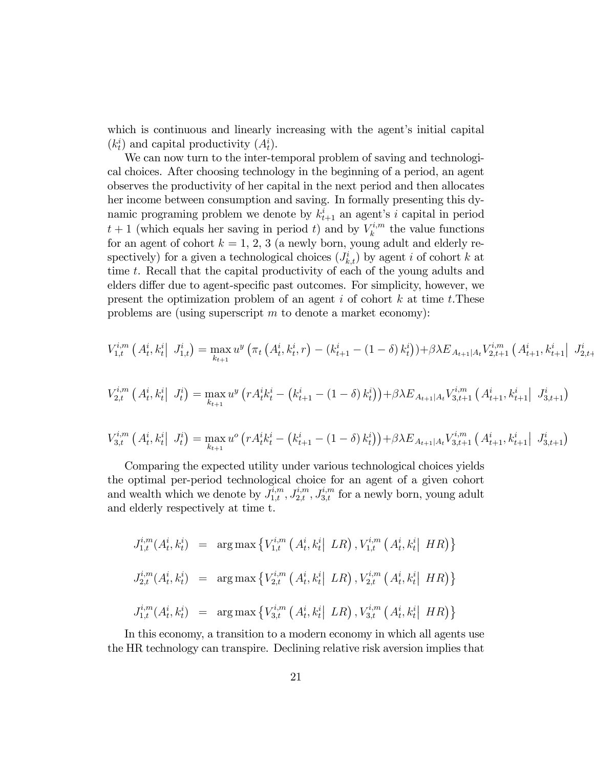which is continuous and linearly increasing with the agent's initial capital  $(k_t^i)$  and capital productivity  $(A_t^i)$ .

We can now turn to the inter-temporal problem of saving and technological choices. After choosing technology in the beginning of a period, an agent observes the productivity of her capital in the next period and then allocates her income between consumption and saving. In formally presenting this dynamic programing problem we denote by  $k_{t+1}^i$  an agent's i capital in period  $t+1$  (which equals her saving in period t) and by  $V_k^{i,m}$  $\kappa^{i,m}$  the value functions for an agent of cohort  $k = 1, 2, 3$  (a newly born, young adult and elderly respectively) for a given a technological choices  $(J_{k,t}^i)$  by agent i of cohort k at time t. Recall that the capital productivity of each of the young adults and elders differ due to agent-specific past outcomes. For simplicity, however, we present the optimization problem of an agent i of cohort  $k$  at time t. These problems are (using superscript  $m$  to denote a market economy):

$$
V_{1,t}^{i,m} (A_t^i, k_t^i | J_{1,t}^i) = \max_{k_{t+1}} u^y \left( \pi_t (A_t^i, k_t^i, r) - (k_{t+1}^i - (1 - \delta) k_t^i) \right) + \beta \lambda E_{A_{t+1}|A_t} V_{2,t+1}^{i,m} (A_{t+1}^i, k_{t+1}^i | J_{2,t+1}^i) \right)
$$

$$
V_{2,t}^{i,m} (A_t^i, k_t^i | J_t^i) = \max_{k_{t+1}} u^y (r A_t^i k_t^i - (k_{t+1}^i - (1 - \delta) k_t^i)) + \beta \lambda E_{A_{t+1}|A_t} V_{3,t+1}^{i,m} (A_{t+1}^i, k_{t+1}^i | J_{3,t+1}^i)
$$

$$
V_{3,t}^{i,m} (A_t^i, k_t^i | J_t^i) = \max_{k_{t+1}} u^o (r A_t^i k_t^i - (k_{t+1}^i - (1 - \delta) k_t^i)) + \beta \lambda E_{A_{t+1}|A_t} V_{3,t+1}^{i,m} (A_{t+1}^i, k_{t+1}^i | J_{3,t+1}^i)
$$

Comparing the expected utility under various technological choices yields the optimal per-period technological choice for an agent of a given cohort and wealth which we denote by  $J_{1,t}^{i,m}$ ,  $J_{2,t}^{i,m}$ ,  $J_{3,t}^{i,m}$  for a newly born, young adult and elderly respectively at time t.

$$
J_{1,t}^{i,m}(A_t^i, k_t^i) = \arg \max \left\{ V_{1,t}^{i,m} (A_t^i, k_t^i | LR), V_{1,t}^{i,m} (A_t^i, k_t^i | HR) \right\}
$$
  

$$
J_{2,t}^{i,m}(A_t^i, k_t^i) = \arg \max \left\{ V_{2,t}^{i,m} (A_t^i, k_t^i | LR), V_{2,t}^{i,m} (A_t^i, k_t^i | HR) \right\}
$$
  

$$
J_{1,t}^{i,m}(A_t^i, k_t^i) = \arg \max \left\{ V_{3,t}^{i,m} (A_t^i, k_t^i | LR), V_{3,t}^{i,m} (A_t^i, k_t^i | HR) \right\}
$$

In this economy, a transition to a modern economy in which all agents use the HR technology can transpire. Declining relative risk aversion implies that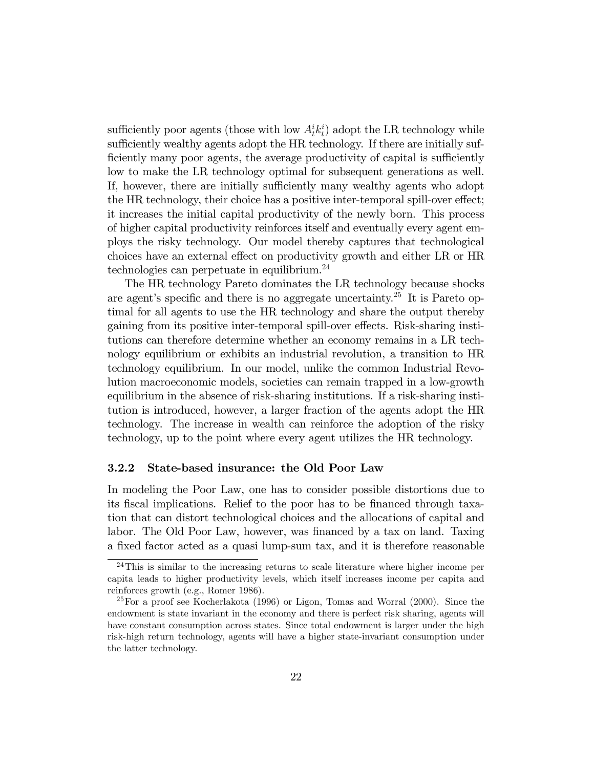sufficiently poor agents (those with low  $A_t^i k_t^i$ ) adopt the LR technology while sufficiently wealthy agents adopt the HR technology. If there are initially sufficiently many poor agents, the average productivity of capital is sufficiently low to make the LR technology optimal for subsequent generations as well. If, however, there are initially sufficiently many wealthy agents who adopt the HR technology, their choice has a positive inter-temporal spill-over effect; it increases the initial capital productivity of the newly born. This process of higher capital productivity reinforces itself and eventually every agent employs the risky technology. Our model thereby captures that technological choices have an external effect on productivity growth and either LR or HR technologies can perpetuate in equilibrium.<sup>24</sup>

The HR technology Pareto dominates the LR technology because shocks are agent's specific and there is no aggregate uncertainty.<sup>25</sup> It is Pareto optimal for all agents to use the HR technology and share the output thereby gaining from its positive inter-temporal spill-over effects. Risk-sharing institutions can therefore determine whether an economy remains in a LR technology equilibrium or exhibits an industrial revolution, a transition to HR technology equilibrium. In our model, unlike the common Industrial Revolution macroeconomic models, societies can remain trapped in a low-growth equilibrium in the absence of risk-sharing institutions. If a risk-sharing institution is introduced, however, a larger fraction of the agents adopt the HR technology. The increase in wealth can reinforce the adoption of the risky technology, up to the point where every agent utilizes the HR technology.

#### 3.2.2 State-based insurance: the Old Poor Law

In modeling the Poor Law, one has to consider possible distortions due to its fiscal implications. Relief to the poor has to be financed through taxation that can distort technological choices and the allocations of capital and labor. The Old Poor Law, however, was financed by a tax on land. Taxing a fixed factor acted as a quasi lump-sum tax, and it is therefore reasonable

 $24$ This is similar to the increasing returns to scale literature where higher income per capita leads to higher productivity levels, which itself increases income per capita and reinforces growth (e.g., Romer 1986).

 $^{25}$ For a proof see Kocherlakota (1996) or Ligon, Tomas and Worral (2000). Since the endowment is state invariant in the economy and there is perfect risk sharing, agents will have constant consumption across states. Since total endowment is larger under the high risk-high return technology, agents will have a higher state-invariant consumption under the latter technology.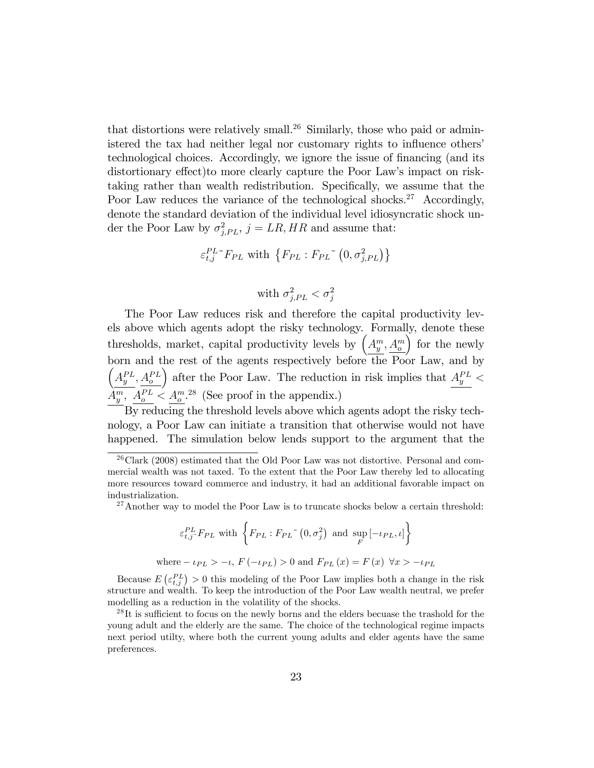that distortions were relatively small.<sup>26</sup> Similarly, those who paid or administered the tax had neither legal nor customary rights to influence others' technological choices. Accordingly, we ignore the issue of financing (and its distortionary effect)to more clearly capture the Poor Law's impact on risktaking rather than wealth redistribution. Specifically, we assume that the Poor Law reduces the variance of the technological shocks.<sup>27</sup> Accordingly, denote the standard deviation of the individual level idiosyncratic shock under the Poor Law by  $\sigma_{j,PL}^2$ ,  $j = LR, HR$  and assume that:

$$
\varepsilon_{t,j}^{PL} {}^{\sim} F_{PL} \text{ with } \{ F_{PL} : F_{PL} {}^{\sim} (0, \sigma_{j,PL}^2) \}
$$

with 
$$
\sigma_{j,PL}^2 < \sigma_j^2
$$

The Poor Law reduces risk and therefore the capital productivity levels above which agents adopt the risky technology. Formally, denote these thresholds, market, capital productivity levels by  $\left(A_y^m, A_o^m\right)$  $\int$  for the newly born and the rest of the agents respectively before the Poor Law, and by  $\left(A_{y}^{PL}, A_{o}^{PL}\right)$ ) after the Poor Law. The reduction in risk implies that  $A_y^{PL}$  <  $A_y^m$ ,  $A_c^{PL} < A_c^{m.28}$  (See proof in the appendix.)

By reducing the threshold levels above which agents adopt the risky technology, a Poor Law can initiate a transition that otherwise would not have happened. The simulation below lends support to the argument that the

$$
\varepsilon_{t,j}^{PL} F_{PL} \text{ with } \left\{ F_{PL} : F_{PL} \sim (0, \sigma_j^2) \text{ and } \sup_F [-\iota_{PL}, \iota] \right\}
$$
  
where  $-\iota_{PL} > -\iota$ ,  $F(-\iota_{PL}) > 0$  and  $F_{PL}(x) = F(x) \quad \forall x > -\iota_{PL}$ 

Because  $E\left(\varepsilon_{t,j}^{PL}\right) > 0$  this modeling of the Poor Law implies both a change in the risk structure and wealth. To keep the introduction of the Poor Law wealth neutral, we prefer modelling as a reduction in the volatility of the shocks.

 $^{26}$ Clark (2008) estimated that the Old Poor Law was not distortive. Personal and commercial wealth was not taxed. To the extent that the Poor Law thereby led to allocating more resources toward commerce and industry, it had an additional favorable impact on industrialization.

 $27$ Another way to model the Poor Law is to truncate shocks below a certain threshold:

 $^{28}$ It is sufficient to focus on the newly borns and the elders becuase the trashold for the young adult and the elderly are the same. The choice of the technological regime impacts next period utilty, where both the current young adults and elder agents have the same preferences.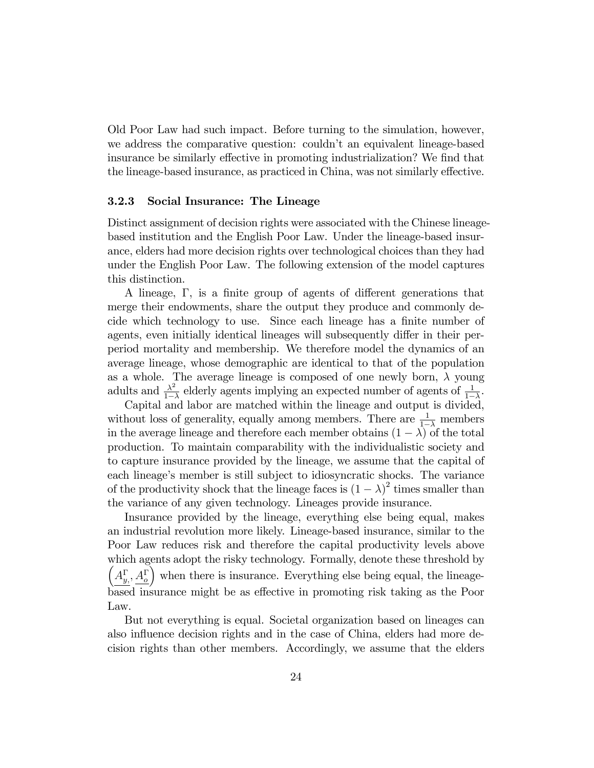Old Poor Law had such impact. Before turning to the simulation, however, we address the comparative question: couldn't an equivalent lineage-based insurance be similarly effective in promoting industrialization? We find that the lineage-based insurance, as practiced in China, was not similarly effective.

#### 3.2.3 Social Insurance: The Lineage

Distinct assignment of decision rights were associated with the Chinese lineagebased institution and the English Poor Law. Under the lineage-based insurance, elders had more decision rights over technological choices than they had under the English Poor Law. The following extension of the model captures this distinction.

A lineage,  $\Gamma$ , is a finite group of agents of different generations that merge their endowments, share the output they produce and commonly decide which technology to use. Since each lineage has a finite number of agents, even initially identical lineages will subsequently differ in their perperiod mortality and membership. We therefore model the dynamics of an average lineage, whose demographic are identical to that of the population as a whole. The average lineage is composed of one newly born,  $\lambda$  young adults and  $\frac{\lambda^2}{1}$  $\frac{\lambda^2}{1-\lambda}$  elderly agents implying an expected number of agents of  $\frac{1}{1-\lambda}$ .

Capital and labor are matched within the lineage and output is divided, without loss of generality, equally among members. There are  $\frac{1}{1-\lambda}$  members in the average lineage and therefore each member obtains  $(1 - \lambda)$  of the total production. To maintain comparability with the individualistic society and to capture insurance provided by the lineage, we assume that the capital of each lineage's member is still subject to idiosyncratic shocks. The variance of the productivity shock that the lineage faces is  $(1 - \lambda)^2$  times smaller than the variance of any given technology. Lineages provide insurance.

Insurance provided by the lineage, everything else being equal, makes an industrial revolution more likely. Lineage-based insurance, similar to the Poor Law reduces risk and therefore the capital productivity levels above which agents adopt the risky technology. Formally, denote these threshold by  $\left(A_{y}^{\Gamma}, A_{o}^{\Gamma}\right)$ when there is insurance. Everything else being equal, the lineagebased insurance might be as effective in promoting risk taking as the Poor Law.

But not everything is equal. Societal organization based on lineages can also influence decision rights and in the case of China, elders had more decision rights than other members. Accordingly, we assume that the elders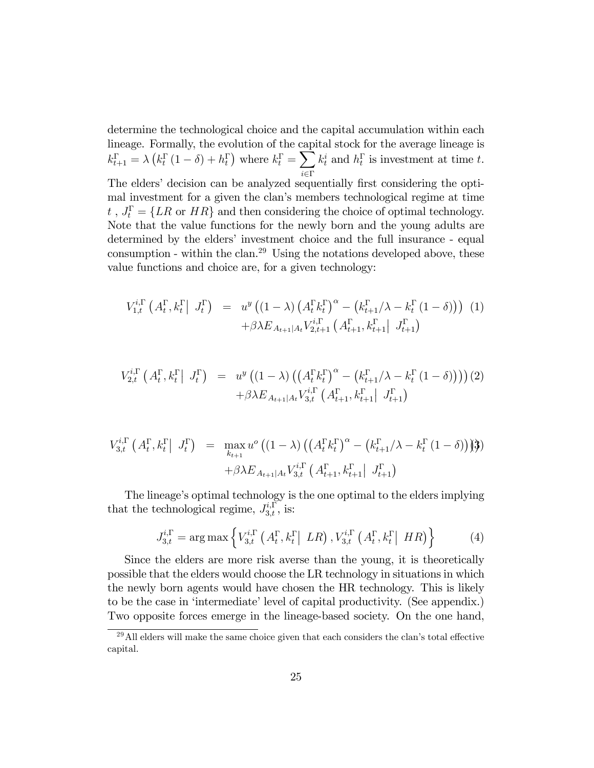determine the technological choice and the capital accumulation within each lineage. Formally, the evolution of the capital stock for the average lineage is  $k_{t+1}^{\Gamma} = \lambda \left( k_t^{\Gamma} \left( 1 - \delta \right) + h_t^{\Gamma} \right)$  where  $k_t^{\Gamma} = \sum$  $i \in \Gamma$  $k_t^i$  and  $h_t^{\Gamma}$  is investment at time t. The elders' decision can be analyzed sequentially first considering the optimal investment for a given the clan's members technological regime at time  $t_i$ ,  $J_t^{\Gamma} = \{LR \text{ or } HR\}$  and then considering the choice of optimal technology. Note that the value functions for the newly born and the young adults are determined by the elders' investment choice and the full insurance - equal consumption - within the clan.<sup>29</sup> Using the notations developed above, these value functions and choice are, for a given technology:

$$
V_{1,t}^{i,\Gamma} (A_t^{\Gamma}, k_t^{\Gamma} | J_t^{\Gamma}) = u^y ((1 - \lambda) (A_t^{\Gamma} k_t^{\Gamma})^{\alpha} - (k_{t+1}^{\Gamma} / \lambda - k_t^{\Gamma} (1 - \delta))) (1) + \beta \lambda E_{A_{t+1} | A_t} V_{2,t+1}^{i,\Gamma} (A_{t+1}^{\Gamma}, k_{t+1}^{\Gamma} | J_{t+1}^{\Gamma})
$$

$$
V_{2,t}^{i,\Gamma} (A_t^{\Gamma}, k_t^{\Gamma} | J_t^{\Gamma}) = u^y ((1 - \lambda) ((A_t^{\Gamma} k_t^{\Gamma})^{\alpha} - (k_{t+1}^{\Gamma} / \lambda - k_t^{\Gamma} (1 - \delta))))(2)
$$
  
 
$$
+ \beta \lambda E_{A_{t+1} | A_t} V_{3,t}^{i,\Gamma} (A_{t+1}^{\Gamma}, k_{t+1}^{\Gamma} | J_{t+1}^{\Gamma})
$$

$$
V_{3,t}^{i,\Gamma} (A_t^{\Gamma}, k_t^{\Gamma} | J_t^{\Gamma}) = \max_{k_{t+1}} u^o ((1 - \lambda) ((A_t^{\Gamma} k_t^{\Gamma})^{\alpha} - (k_{t+1}^{\Gamma} / \lambda - k_t^{\Gamma} (1 - \delta)) )\mathfrak{Z}) + \beta \lambda E_{A_{t+1} | A_t} V_{3,t}^{i,\Gamma} (A_{t+1}^{\Gamma}, k_{t+1}^{\Gamma} | J_{t+1}^{\Gamma})
$$

The lineage's optimal technology is the one optimal to the elders implying that the technological regime,  $J_{3,t}^{i,\Gamma}$ , is:

$$
J_{3,t}^{i,\Gamma} = \arg \max \left\{ V_{3,t}^{i,\Gamma} \left( A_t^{\Gamma}, k_t^{\Gamma} \middle| LR \right), V_{3,t}^{i,\Gamma} \left( A_t^{\Gamma}, k_t^{\Gamma} \middle| HR \right) \right\} \tag{4}
$$

Since the elders are more risk averse than the young, it is theoretically possible that the elders would choose the LR technology in situations in which the newly born agents would have chosen the HR technology. This is likely to be the case in 'intermediate' level of capital productivity. (See appendix.) Two opposite forces emerge in the lineage-based society. On the one hand,

 $^{29}$ All elders will make the same choice given that each considers the clan's total effective capital.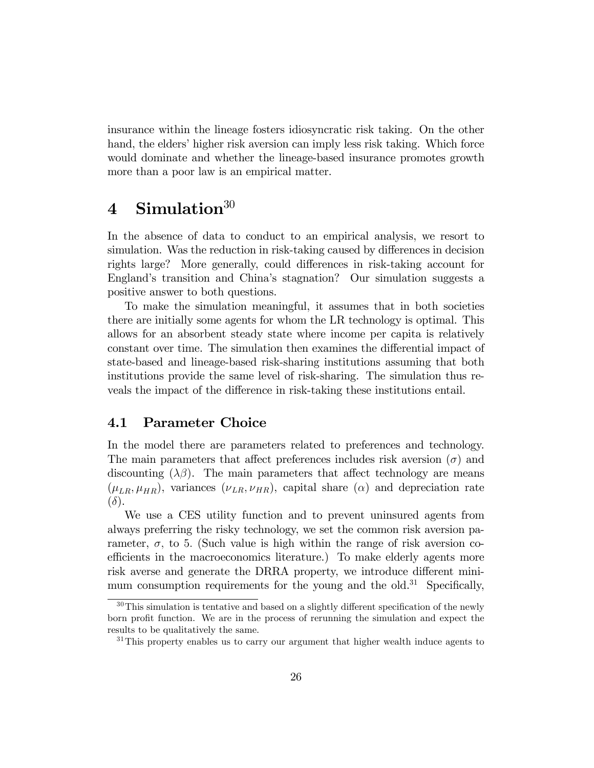insurance within the lineage fosters idiosyncratic risk taking. On the other hand, the elders' higher risk aversion can imply less risk taking. Which force would dominate and whether the lineage-based insurance promotes growth more than a poor law is an empirical matter.

## 4 Simulation $30$

In the absence of data to conduct to an empirical analysis, we resort to simulation. Was the reduction in risk-taking caused by differences in decision rights large? More generally, could differences in risk-taking account for England's transition and China's stagnation? Our simulation suggests a positive answer to both questions.

To make the simulation meaningful, it assumes that in both societies there are initially some agents for whom the LR technology is optimal. This allows for an absorbent steady state where income per capita is relatively constant over time. The simulation then examines the differential impact of state-based and lineage-based risk-sharing institutions assuming that both institutions provide the same level of risk-sharing. The simulation thus reveals the impact of the difference in risk-taking these institutions entail.

### 4.1 Parameter Choice

In the model there are parameters related to preferences and technology. The main parameters that affect preferences includes risk aversion  $(\sigma)$  and discounting  $(\lambda \beta)$ . The main parameters that affect technology are means  $(\mu_{LR}, \mu_{HR})$ , variances  $(\nu_{LR}, \nu_{HR})$ , capital share  $(\alpha)$  and depreciation rate  $(\delta).$ 

We use a CES utility function and to prevent uninsured agents from always preferring the risky technology, we set the common risk aversion parameter,  $\sigma$ , to 5. (Such value is high within the range of risk aversion coefficients in the macroeconomics literature.) To make elderly agents more risk averse and generate the DRRA property, we introduce different minimum consumption requirements for the young and the old.<sup>31</sup> Specifically,

 $30$ This simulation is tentative and based on a slightly different specification of the newly born profit function. We are in the process of rerunning the simulation and expect the results to be qualitatively the same.

 $31$ This property enables us to carry our argument that higher wealth induce agents to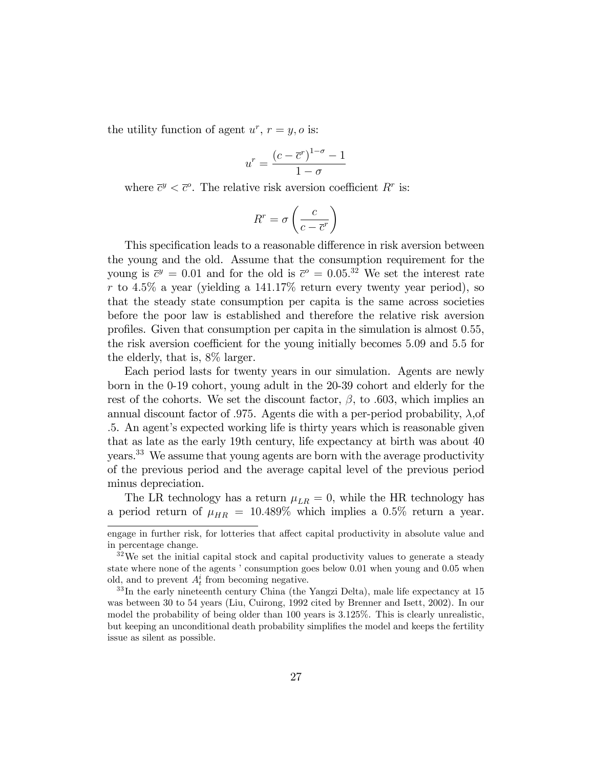the utility function of agent  $u^r$ ,  $r = y$ , o is:

$$
u^r = \frac{(c - \overline{c}^r)^{1 - \sigma} - 1}{1 - \sigma}
$$

where  $\bar{c}^y < \bar{c}^o$ . The relative risk aversion coefficient  $R^r$  is:

$$
R^r = \sigma \left(\frac{c}{c - \overline{c}^r}\right)
$$

This specification leads to a reasonable difference in risk aversion between the young and the old. Assume that the consumption requirement for the young is  $\bar{c}^y = 0.01$  and for the old is  $\bar{c}^o = 0.05$ .<sup>32</sup> We set the interest rate r to 4.5% a year (yielding a 141.17% return every twenty year period), so that the steady state consumption per capita is the same across societies before the poor law is established and therefore the relative risk aversion profiles. Given that consumption per capita in the simulation is almost 0.55, the risk aversion coefficient for the young initially becomes 5.09 and 5.5 for the elderly, that is, 8% larger.

Each period lasts for twenty years in our simulation. Agents are newly born in the 0-19 cohort, young adult in the 20-39 cohort and elderly for the rest of the cohorts. We set the discount factor,  $\beta$ , to .603, which implies an annual discount factor of .975. Agents die with a per-period probability,  $\lambda$ , of :5. An agentís expected working life is thirty years which is reasonable given that as late as the early 19th century, life expectancy at birth was about 40 years.<sup>33</sup> We assume that young agents are born with the average productivity of the previous period and the average capital level of the previous period minus depreciation.

The LR technology has a return  $\mu_{LR} = 0$ , while the HR technology has a period return of  $\mu_{HR} = 10.489\%$  which implies a 0.5% return a year.

engage in further risk, for lotteries that affect capital productivity in absolute value and in percentage change.

 $32\,\text{We set the initial capital stock and capital productivity values to generate a steady}$ state where none of the agents ' consumption goes below 0.01 when young and 0.05 when old, and to prevent  $A_t^i$  from becoming negative.

<sup>33</sup> In the early nineteenth century China (the Yangzi Delta), male life expectancy at 15 was between 30 to 54 years (Liu, Cuirong, 1992 cited by Brenner and Isett, 2002). In our model the probability of being older than 100 years is 3:125%. This is clearly unrealistic, but keeping an unconditional death probability simplifies the model and keeps the fertility issue as silent as possible.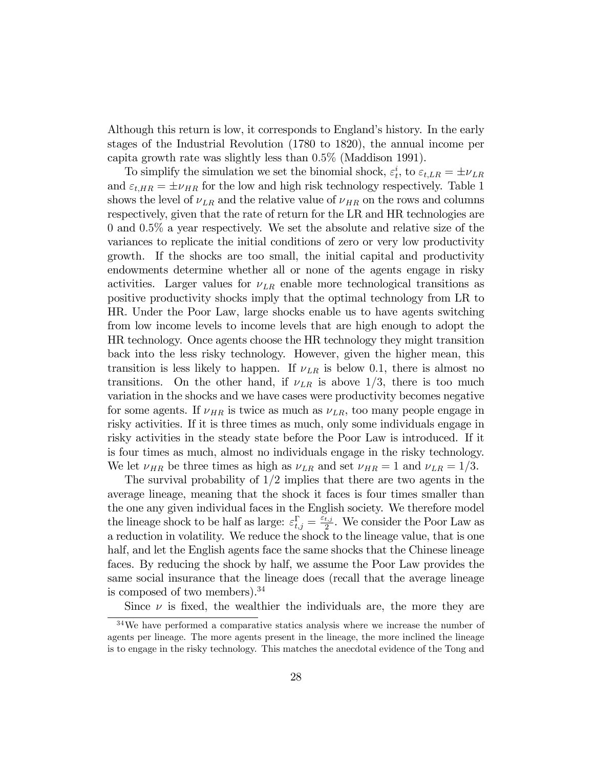Although this return is low, it corresponds to England's history. In the early stages of the Industrial Revolution (1780 to 1820), the annual income per capita growth rate was slightly less than 0:5% (Maddison 1991).

To simplify the simulation we set the binomial shock,  $\varepsilon_t^i$ , to  $\varepsilon_{t,LR} = \pm \nu_{LR}$ and  $\varepsilon_{t,HR} = \pm \nu_{HR}$  for the low and high risk technology respectively. Table 1 shows the level of  $\nu_{LR}$  and the relative value of  $\nu_{HR}$  on the rows and columns respectively, given that the rate of return for the LR and HR technologies are 0 and 0:5% a year respectively. We set the absolute and relative size of the variances to replicate the initial conditions of zero or very low productivity growth. If the shocks are too small, the initial capital and productivity endowments determine whether all or none of the agents engage in risky activities. Larger values for  $\nu_{LR}$  enable more technological transitions as positive productivity shocks imply that the optimal technology from LR to HR. Under the Poor Law, large shocks enable us to have agents switching from low income levels to income levels that are high enough to adopt the HR technology. Once agents choose the HR technology they might transition back into the less risky technology. However, given the higher mean, this transition is less likely to happen. If  $\nu_{LR}$  is below 0.1, there is almost no transitions. On the other hand, if  $\nu_{LR}$  is above 1/3, there is too much variation in the shocks and we have cases were productivity becomes negative for some agents. If  $\nu_{HR}$  is twice as much as  $\nu_{LR}$ , too many people engage in risky activities. If it is three times as much, only some individuals engage in risky activities in the steady state before the Poor Law is introduced. If it is four times as much, almost no individuals engage in the risky technology. We let  $\nu_{HR}$  be three times as high as  $\nu_{LR}$  and set  $\nu_{HR} = 1$  and  $\nu_{LR} = 1/3$ .

The survival probability of  $1/2$  implies that there are two agents in the average lineage, meaning that the shock it faces is four times smaller than the one any given individual faces in the English society. We therefore model the lineage shock to be half as large:  $\varepsilon_{t,j}^{\Gamma} = \frac{\varepsilon_{t,j}}{2}$  $\frac{t,j}{2}$ . We consider the Poor Law as a reduction in volatility. We reduce the shock to the lineage value, that is one half, and let the English agents face the same shocks that the Chinese lineage faces. By reducing the shock by half, we assume the Poor Law provides the same social insurance that the lineage does (recall that the average lineage is composed of two members).  $34$ 

Since  $\nu$  is fixed, the wealthier the individuals are, the more they are

<sup>&</sup>lt;sup>34</sup>We have performed a comparative statics analysis where we increase the number of agents per lineage. The more agents present in the lineage, the more inclined the lineage is to engage in the risky technology. This matches the anecdotal evidence of the Tong and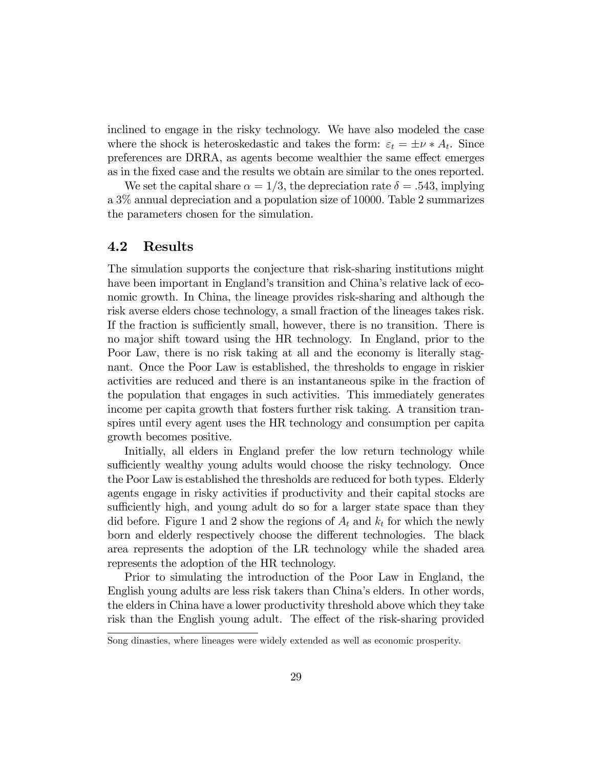inclined to engage in the risky technology. We have also modeled the case where the shock is heteroskedastic and takes the form:  $\varepsilon_t = \pm \nu * A_t$ . Since preferences are DRRA, as agents become wealthier the same effect emerges as in the Öxed case and the results we obtain are similar to the ones reported.

We set the capital share  $\alpha = 1/3$ , the depreciation rate  $\delta = .543$ , implying a 3% annual depreciation and a population size of 10000: Table 2 summarizes the parameters chosen for the simulation.

### 4.2 Results

The simulation supports the conjecture that risk-sharing institutions might have been important in England's transition and China's relative lack of economic growth. In China, the lineage provides risk-sharing and although the risk averse elders chose technology, a small fraction of the lineages takes risk. If the fraction is sufficiently small, however, there is no transition. There is no major shift toward using the HR technology. In England, prior to the Poor Law, there is no risk taking at all and the economy is literally stagnant. Once the Poor Law is established, the thresholds to engage in riskier activities are reduced and there is an instantaneous spike in the fraction of the population that engages in such activities. This immediately generates income per capita growth that fosters further risk taking. A transition transpires until every agent uses the HR technology and consumption per capita growth becomes positive.

Initially, all elders in England prefer the low return technology while sufficiently wealthy young adults would choose the risky technology. Once the Poor Law is established the thresholds are reduced for both types. Elderly agents engage in risky activities if productivity and their capital stocks are sufficiently high, and young adult do so for a larger state space than they did before. Figure 1 and 2 show the regions of  $A_t$  and  $k_t$  for which the newly born and elderly respectively choose the different technologies. The black area represents the adoption of the LR technology while the shaded area represents the adoption of the HR technology.

Prior to simulating the introduction of the Poor Law in England, the English young adults are less risk takers than Chinaís elders. In other words, the elders in China have a lower productivity threshold above which they take risk than the English young adult. The effect of the risk-sharing provided

Song dinasties, where lineages were widely extended as well as economic prosperity.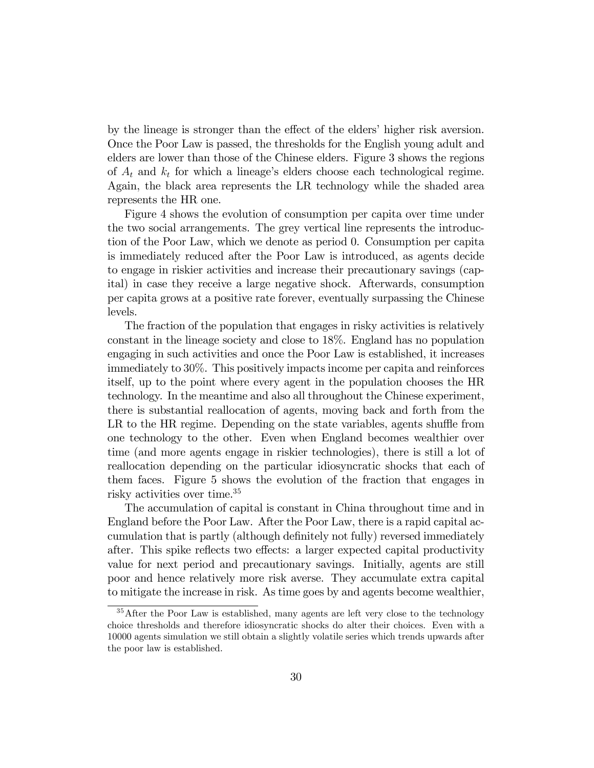by the lineage is stronger than the effect of the elders' higher risk aversion. Once the Poor Law is passed, the thresholds for the English young adult and elders are lower than those of the Chinese elders. Figure 3 shows the regions of  $A_t$  and  $k_t$  for which a lineage's elders choose each technological regime. Again, the black area represents the LR technology while the shaded area represents the HR one.

Figure 4 shows the evolution of consumption per capita over time under the two social arrangements. The grey vertical line represents the introduction of the Poor Law, which we denote as period 0. Consumption per capita is immediately reduced after the Poor Law is introduced, as agents decide to engage in riskier activities and increase their precautionary savings (capital) in case they receive a large negative shock. Afterwards, consumption per capita grows at a positive rate forever, eventually surpassing the Chinese levels.

The fraction of the population that engages in risky activities is relatively constant in the lineage society and close to 18%. England has no population engaging in such activities and once the Poor Law is established, it increases immediately to 30%. This positively impacts income per capita and reinforces itself, up to the point where every agent in the population chooses the HR technology. In the meantime and also all throughout the Chinese experiment, there is substantial reallocation of agents, moving back and forth from the LR to the  $HR$  regime. Depending on the state variables, agents shuffle from one technology to the other. Even when England becomes wealthier over time (and more agents engage in riskier technologies), there is still a lot of reallocation depending on the particular idiosyncratic shocks that each of them faces. Figure 5 shows the evolution of the fraction that engages in risky activities over time.<sup>35</sup>

The accumulation of capital is constant in China throughout time and in England before the Poor Law. After the Poor Law, there is a rapid capital accumulation that is partly (although definitely not fully) reversed immediately after. This spike reflects two effects: a larger expected capital productivity value for next period and precautionary savings. Initially, agents are still poor and hence relatively more risk averse. They accumulate extra capital to mitigate the increase in risk. As time goes by and agents become wealthier,

<sup>&</sup>lt;sup>35</sup>After the Poor Law is established, many agents are left very close to the technology choice thresholds and therefore idiosyncratic shocks do alter their choices. Even with a 10000 agents simulation we still obtain a slightly volatile series which trends upwards after the poor law is established.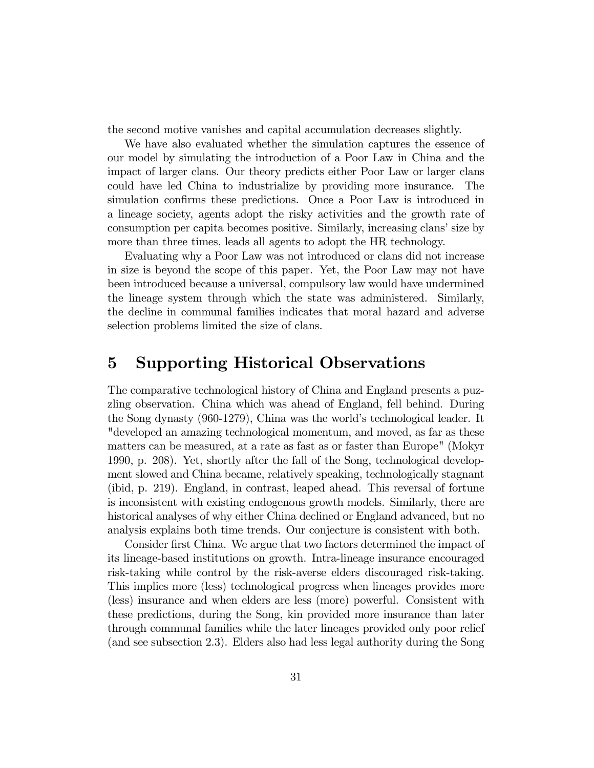the second motive vanishes and capital accumulation decreases slightly.

We have also evaluated whether the simulation captures the essence of our model by simulating the introduction of a Poor Law in China and the impact of larger clans. Our theory predicts either Poor Law or larger clans could have led China to industrialize by providing more insurance. The simulation confirms these predictions. Once a Poor Law is introduced in a lineage society, agents adopt the risky activities and the growth rate of consumption per capita becomes positive. Similarly, increasing clans' size by more than three times, leads all agents to adopt the HR technology.

Evaluating why a Poor Law was not introduced or clans did not increase in size is beyond the scope of this paper. Yet, the Poor Law may not have been introduced because a universal, compulsory law would have undermined the lineage system through which the state was administered. Similarly, the decline in communal families indicates that moral hazard and adverse selection problems limited the size of clans.

## 5 Supporting Historical Observations

The comparative technological history of China and England presents a puzzling observation. China which was ahead of England, fell behind. During the Song dynasty (960-1279), China was the world's technological leader. It "developed an amazing technological momentum, and moved, as far as these matters can be measured, at a rate as fast as or faster than Europe" (Mokyr 1990, p. 208). Yet, shortly after the fall of the Song, technological development slowed and China became, relatively speaking, technologically stagnant (ibid, p. 219). England, in contrast, leaped ahead. This reversal of fortune is inconsistent with existing endogenous growth models. Similarly, there are historical analyses of why either China declined or England advanced, but no analysis explains both time trends. Our conjecture is consistent with both.

Consider first China. We argue that two factors determined the impact of its lineage-based institutions on growth. Intra-lineage insurance encouraged risk-taking while control by the risk-averse elders discouraged risk-taking. This implies more (less) technological progress when lineages provides more (less) insurance and when elders are less (more) powerful. Consistent with these predictions, during the Song, kin provided more insurance than later through communal families while the later lineages provided only poor relief (and see subsection 2.3). Elders also had less legal authority during the Song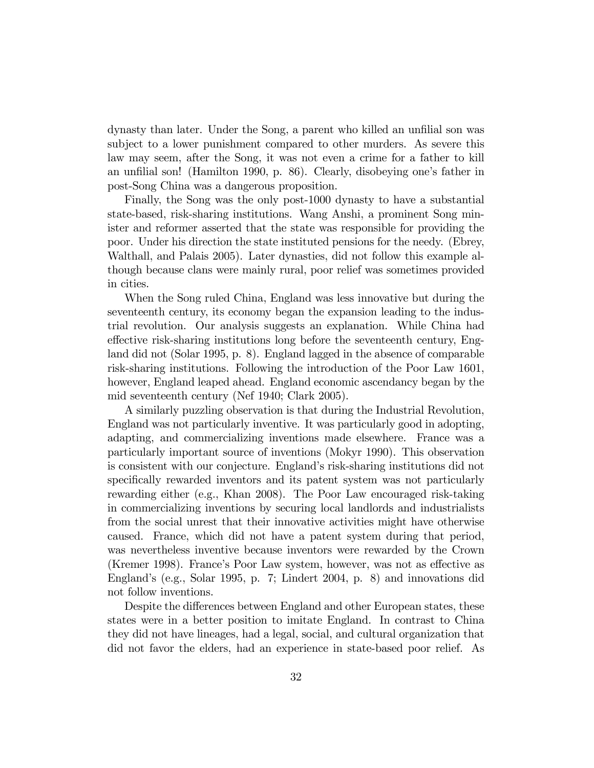dynasty than later. Under the Song, a parent who killed an unfilial son was subject to a lower punishment compared to other murders. As severe this law may seem, after the Song, it was not even a crime for a father to kill an unfilial son! (Hamilton 1990, p. 86). Clearly, disobeying one's father in post-Song China was a dangerous proposition.

Finally, the Song was the only post-1000 dynasty to have a substantial state-based, risk-sharing institutions. Wang Anshi, a prominent Song minister and reformer asserted that the state was responsible for providing the poor. Under his direction the state instituted pensions for the needy. (Ebrey, Walthall, and Palais 2005). Later dynasties, did not follow this example although because clans were mainly rural, poor relief was sometimes provided in cities.

When the Song ruled China, England was less innovative but during the seventeenth century, its economy began the expansion leading to the industrial revolution. Our analysis suggests an explanation. While China had effective risk-sharing institutions long before the seventeenth century, England did not (Solar 1995, p. 8). England lagged in the absence of comparable risk-sharing institutions. Following the introduction of the Poor Law 1601, however, England leaped ahead. England economic ascendancy began by the mid seventeenth century (Nef 1940; Clark 2005).

A similarly puzzling observation is that during the Industrial Revolution, England was not particularly inventive. It was particularly good in adopting, adapting, and commercializing inventions made elsewhere. France was a particularly important source of inventions (Mokyr 1990). This observation is consistent with our conjecture. England's risk-sharing institutions did not specifically rewarded inventors and its patent system was not particularly rewarding either (e.g., Khan 2008). The Poor Law encouraged risk-taking in commercializing inventions by securing local landlords and industrialists from the social unrest that their innovative activities might have otherwise caused. France, which did not have a patent system during that period, was nevertheless inventive because inventors were rewarded by the Crown (Kremer 1998). France's Poor Law system, however, was not as effective as England's (e.g., Solar 1995, p. 7; Lindert 2004, p. 8) and innovations did not follow inventions.

Despite the differences between England and other European states, these states were in a better position to imitate England. In contrast to China they did not have lineages, had a legal, social, and cultural organization that did not favor the elders, had an experience in state-based poor relief. As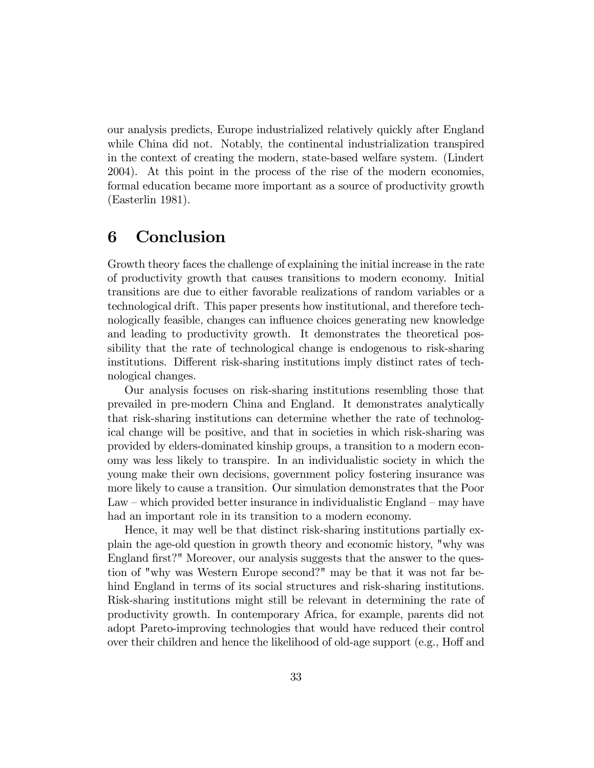our analysis predicts, Europe industrialized relatively quickly after England while China did not. Notably, the continental industrialization transpired in the context of creating the modern, state-based welfare system. (Lindert 2004). At this point in the process of the rise of the modern economies, formal education became more important as a source of productivity growth (Easterlin 1981).

## 6 Conclusion

Growth theory faces the challenge of explaining the initial increase in the rate of productivity growth that causes transitions to modern economy. Initial transitions are due to either favorable realizations of random variables or a technological drift. This paper presents how institutional, and therefore technologically feasible, changes can influence choices generating new knowledge and leading to productivity growth. It demonstrates the theoretical possibility that the rate of technological change is endogenous to risk-sharing institutions. Different risk-sharing institutions imply distinct rates of technological changes.

Our analysis focuses on risk-sharing institutions resembling those that prevailed in pre-modern China and England. It demonstrates analytically that risk-sharing institutions can determine whether the rate of technological change will be positive, and that in societies in which risk-sharing was provided by elders-dominated kinship groups, a transition to a modern economy was less likely to transpire. In an individualistic society in which the young make their own decisions, government policy fostering insurance was more likely to cause a transition. Our simulation demonstrates that the Poor  $Law - which provided better insurance in individualistic England - may have$ had an important role in its transition to a modern economy.

Hence, it may well be that distinct risk-sharing institutions partially explain the age-old question in growth theory and economic history, "why was England first?" Moreover, our analysis suggests that the answer to the question of "why was Western Europe second?" may be that it was not far behind England in terms of its social structures and risk-sharing institutions. Risk-sharing institutions might still be relevant in determining the rate of productivity growth. In contemporary Africa, for example, parents did not adopt Pareto-improving technologies that would have reduced their control over their children and hence the likelihood of old-age support (e.g., Hoff and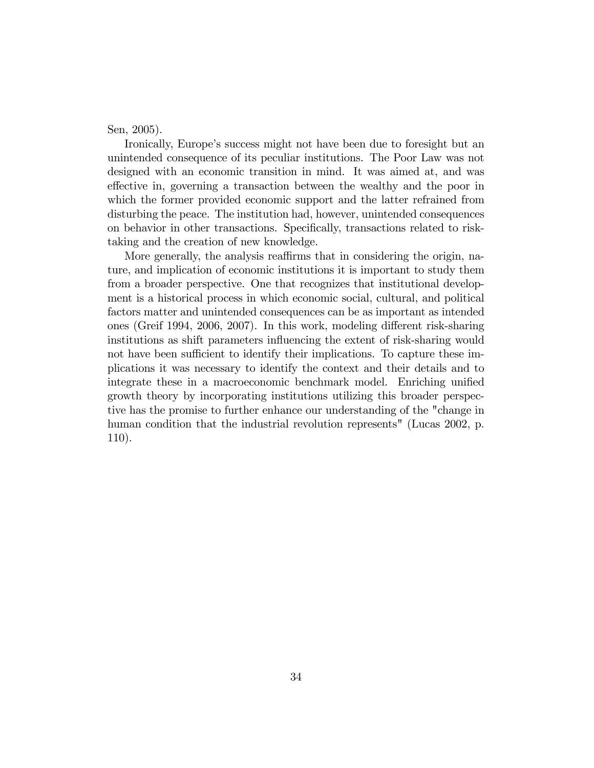Sen, 2005).

Ironically, Europe's success might not have been due to foresight but an unintended consequence of its peculiar institutions. The Poor Law was not designed with an economic transition in mind. It was aimed at, and was effective in, governing a transaction between the wealthy and the poor in which the former provided economic support and the latter refrained from disturbing the peace. The institution had, however, unintended consequences on behavior in other transactions. Specifically, transactions related to risktaking and the creation of new knowledge.

More generally, the analysis reaffirms that in considering the origin, nature, and implication of economic institutions it is important to study them from a broader perspective. One that recognizes that institutional development is a historical process in which economic social, cultural, and political factors matter and unintended consequences can be as important as intended ones (Greif 1994, 2006, 2007). In this work, modeling different risk-sharing institutions as shift parameters influencing the extent of risk-sharing would not have been sufficient to identify their implications. To capture these implications it was necessary to identify the context and their details and to integrate these in a macroeconomic benchmark model. Enriching unified growth theory by incorporating institutions utilizing this broader perspective has the promise to further enhance our understanding of the "change in human condition that the industrial revolution represents" (Lucas 2002, p. 110).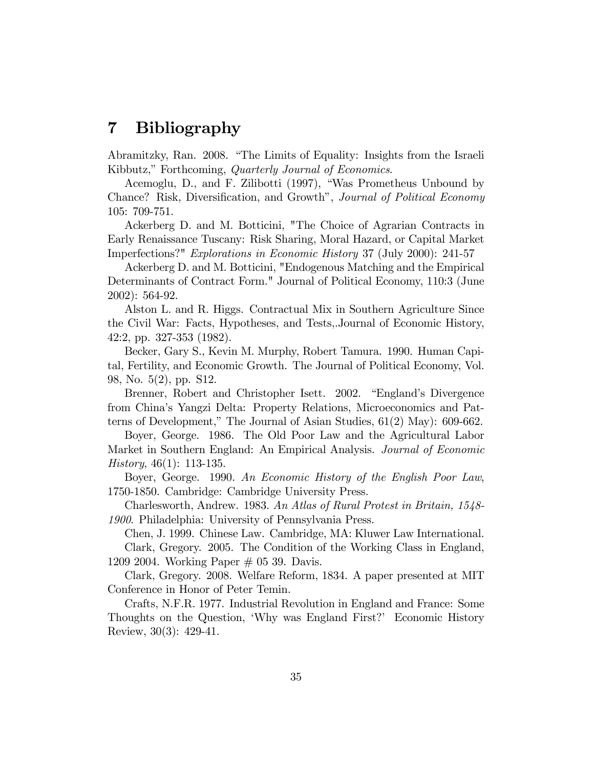## 7 Bibliography

Abramitzky, Ran. 2008. "The Limits of Equality: Insights from the Israeli Kibbutz," Forthcoming, *Quarterly Journal of Economics*.

Acemoglu, D., and F. Zilibotti (1997), "Was Prometheus Unbound by Chance? Risk, Diversification, and Growth", *Journal of Political Economy* 105: 709-751.

Ackerberg D. and M. Botticini, "The Choice of Agrarian Contracts in Early Renaissance Tuscany: Risk Sharing, Moral Hazard, or Capital Market Imperfections?" Explorations in Economic History 37 (July 2000): 241-57

Ackerberg D. and M. Botticini, "Endogenous Matching and the Empirical Determinants of Contract Form." Journal of Political Economy, 110:3 (June 2002): 564-92.

Alston L. and R. Higgs. Contractual Mix in Southern Agriculture Since the Civil War: Facts, Hypotheses, and Tests,.Journal of Economic History, 42:2, pp. 327-353 (1982).

Becker, Gary S., Kevin M. Murphy, Robert Tamura. 1990. Human Capital, Fertility, and Economic Growth. The Journal of Political Economy, Vol. 98, No. 5(2), pp. S12.

Brenner, Robert and Christopher Isett. 2002. "England's Divergence from Chinaís Yangzi Delta: Property Relations, Microeconomics and Patterns of Development," The Journal of Asian Studies,  $61(2)$  May):  $609-662$ .

Boyer, George. 1986. The Old Poor Law and the Agricultural Labor Market in Southern England: An Empirical Analysis. Journal of Economic History, 46(1): 113-135.

Boyer, George. 1990. An Economic History of the English Poor Law, 1750-1850. Cambridge: Cambridge University Press.

Charlesworth, Andrew. 1983. An Atlas of Rural Protest in Britain, 1548- 1900. Philadelphia: University of Pennsylvania Press.

Chen, J. 1999. Chinese Law. Cambridge, MA: Kluwer Law International. Clark, Gregory. 2005. The Condition of the Working Class in England, 1209 2004. Working Paper # 05 39. Davis.

Clark, Gregory. 2008. Welfare Reform, 1834. A paper presented at MIT Conference in Honor of Peter Temin.

Crafts, N.F.R. 1977. Industrial Revolution in England and France: Some Thoughts on the Question, 'Why was England First?' Economic History Review, 30(3): 429-41.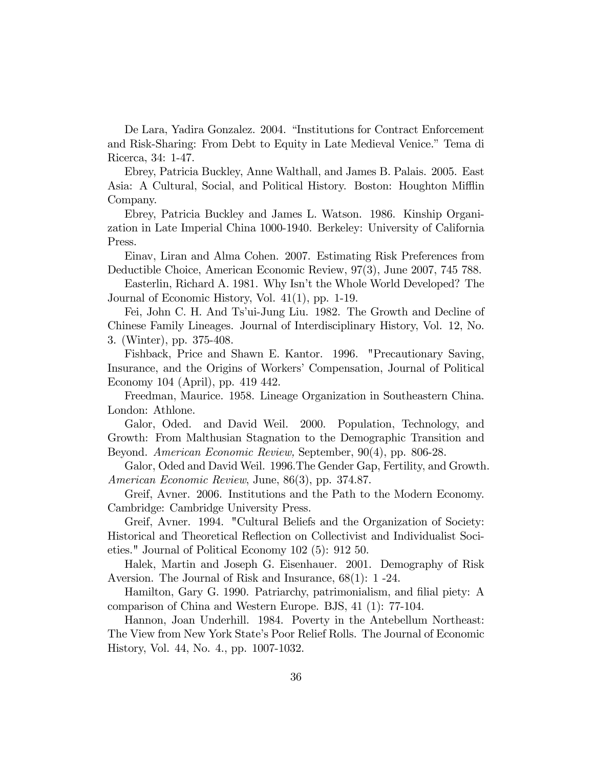De Lara, Yadira Gonzalez. 2004. "Institutions for Contract Enforcement and Risk-Sharing: From Debt to Equity in Late Medieval Venice." Tema di Ricerca, 34: 1-47.

Ebrey, Patricia Buckley, Anne Walthall, and James B. Palais. 2005. East Asia: A Cultural, Social, and Political History. Boston: Houghton Mifflin Company.

Ebrey, Patricia Buckley and James L. Watson. 1986. Kinship Organization in Late Imperial China 1000-1940. Berkeley: University of California Press.

Einav, Liran and Alma Cohen. 2007. Estimating Risk Preferences from Deductible Choice, American Economic Review, 97(3), June 2007, 745 788.

Easterlin, Richard A. 1981. Why Isn't the Whole World Developed? The Journal of Economic History, Vol. 41(1), pp. 1-19.

Fei, John C. H. And Tsíui-Jung Liu. 1982. The Growth and Decline of Chinese Family Lineages. Journal of Interdisciplinary History, Vol. 12, No. 3. (Winter), pp. 375-408.

Fishback, Price and Shawn E. Kantor. 1996. "Precautionary Saving, Insurance, and the Origins of Workers' Compensation, Journal of Political Economy 104 (April), pp. 419 442.

Freedman, Maurice. 1958. Lineage Organization in Southeastern China. London: Athlone.

Galor, Oded. and David Weil. 2000. Population, Technology, and Growth: From Malthusian Stagnation to the Demographic Transition and Beyond. American Economic Review, September, 90(4), pp. 806-28.

Galor, Oded and David Weil. 1996.The Gender Gap, Fertility, and Growth. American Economic Review, June, 86(3), pp. 374.87.

Greif, Avner. 2006. Institutions and the Path to the Modern Economy. Cambridge: Cambridge University Press.

Greif, Avner. 1994. "Cultural Beliefs and the Organization of Society: Historical and Theoretical Reáection on Collectivist and Individualist Societies." Journal of Political Economy 102 (5): 912 50.

Halek, Martin and Joseph G. Eisenhauer. 2001. Demography of Risk Aversion. The Journal of Risk and Insurance, 68(1): 1 -24.

Hamilton, Gary G. 1990. Patriarchy, patrimonialism, and filial piety: A comparison of China and Western Europe. BJS, 41 (1): 77-104.

Hannon, Joan Underhill. 1984. Poverty in the Antebellum Northeast: The View from New York Stateís Poor Relief Rolls. The Journal of Economic History, Vol. 44, No. 4., pp. 1007-1032.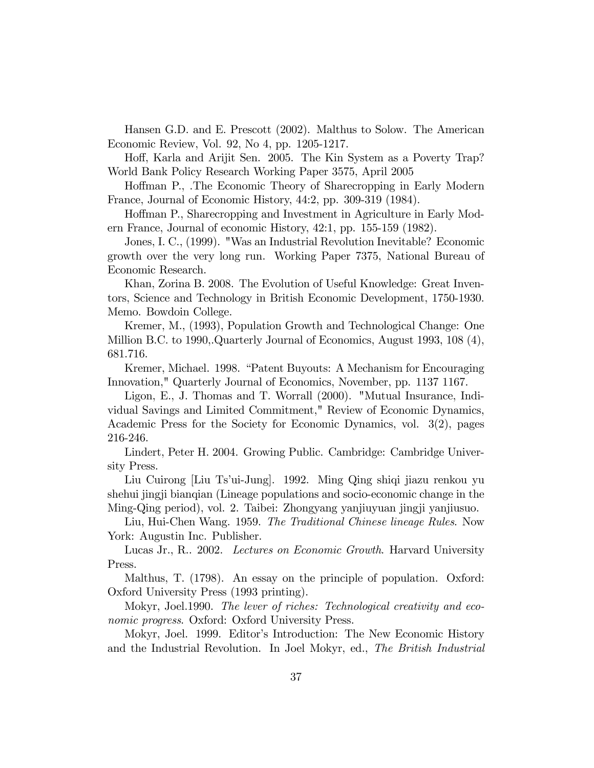Hansen G.D. and E. Prescott (2002). Malthus to Solow. The American Economic Review, Vol. 92, No 4, pp. 1205-1217.

Hoff, Karla and Arijit Sen. 2005. The Kin System as a Poverty Trap? World Bank Policy Research Working Paper 3575, April 2005

Hoffman P., .The Economic Theory of Sharecropping in Early Modern France, Journal of Economic History, 44:2, pp. 309-319 (1984).

Hoffman P., Sharecropping and Investment in Agriculture in Early Modern France, Journal of economic History, 42:1, pp. 155-159 (1982).

Jones, I. C., (1999). "Was an Industrial Revolution Inevitable? Economic growth over the very long run. Working Paper 7375, National Bureau of Economic Research.

Khan, Zorina B. 2008. The Evolution of Useful Knowledge: Great Inventors, Science and Technology in British Economic Development, 1750-1930. Memo. Bowdoin College.

Kremer, M., (1993), Population Growth and Technological Change: One Million B.C. to 1990,.Quarterly Journal of Economics, August 1993, 108 (4), 681.716.

Kremer, Michael. 1998. "Patent Buyouts: A Mechanism for Encouraging Innovation," Quarterly Journal of Economics, November, pp. 1137 1167.

Ligon, E., J. Thomas and T. Worrall (2000). "Mutual Insurance, Individual Savings and Limited Commitment," Review of Economic Dynamics, Academic Press for the Society for Economic Dynamics, vol. 3(2), pages 216-246.

Lindert, Peter H. 2004. Growing Public. Cambridge: Cambridge University Press.

Liu Cuirong [Liu Ts'ui-Jung]. 1992. Ming Qing shiqi jiazu renkou yu shehui jingji bianqian (Lineage populations and socio-economic change in the Ming-Qing period), vol. 2. Taibei: Zhongyang yanjiuyuan jingji yanjiusuo.

Liu, Hui-Chen Wang. 1959. The Traditional Chinese lineage Rules. Now York: Augustin Inc. Publisher.

Lucas Jr., R.. 2002. Lectures on Economic Growth. Harvard University Press.

Malthus, T. (1798). An essay on the principle of population. Oxford: Oxford University Press (1993 printing).

Mokyr, Joel.1990. The lever of riches: Technological creativity and economic progress. Oxford: Oxford University Press.

Mokyr, Joel. 1999. Editor's Introduction: The New Economic History and the Industrial Revolution. In Joel Mokyr, ed., The British Industrial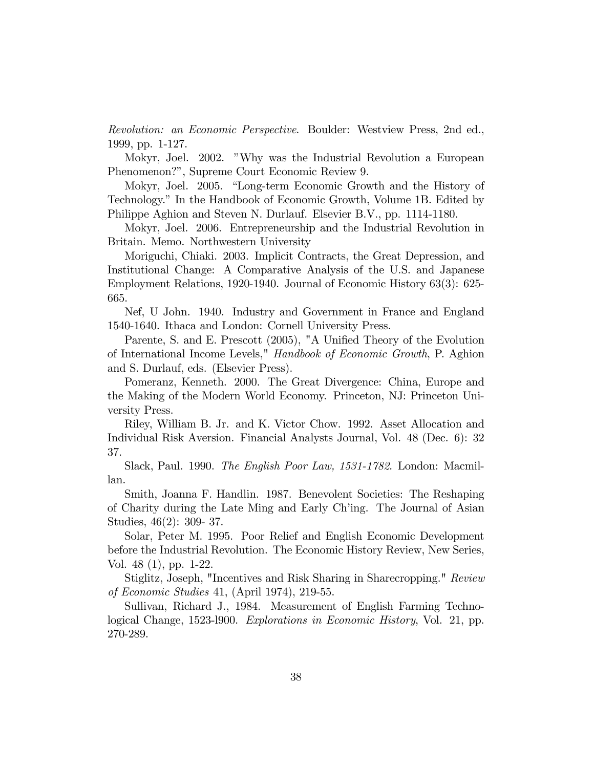Revolution: an Economic Perspective. Boulder: Westview Press, 2nd ed., 1999, pp. 1-127.

Mokyr, Joel. 2002. "Why was the Industrial Revolution a European Phenomenon?î, Supreme Court Economic Review 9.

Mokyr, Joel. 2005. "Long-term Economic Growth and the History of Technology.î In the Handbook of Economic Growth, Volume 1B. Edited by Philippe Aghion and Steven N. Durlauf. Elsevier B.V., pp. 1114-1180.

Mokyr, Joel. 2006. Entrepreneurship and the Industrial Revolution in Britain. Memo. Northwestern University

Moriguchi, Chiaki. 2003. Implicit Contracts, the Great Depression, and Institutional Change: A Comparative Analysis of the U.S. and Japanese Employment Relations, 1920-1940. Journal of Economic History 63(3): 625- 665.

Nef, U John. 1940. Industry and Government in France and England 1540-1640. Ithaca and London: Cornell University Press.

Parente, S. and E. Prescott (2005), "A Unified Theory of the Evolution of International Income Levels," Handbook of Economic Growth, P. Aghion and S. Durlauf, eds. (Elsevier Press).

Pomeranz, Kenneth. 2000. The Great Divergence: China, Europe and the Making of the Modern World Economy. Princeton, NJ: Princeton University Press.

Riley, William B. Jr. and K. Victor Chow. 1992. Asset Allocation and Individual Risk Aversion. Financial Analysts Journal, Vol. 48 (Dec. 6): 32 37.

Slack, Paul. 1990. The English Poor Law, 1531-1782. London: Macmillan.

Smith, Joanna F. Handlin. 1987. Benevolent Societies: The Reshaping of Charity during the Late Ming and Early Chíing. The Journal of Asian Studies, 46(2): 309- 37.

Solar, Peter M. 1995. Poor Relief and English Economic Development before the Industrial Revolution. The Economic History Review, New Series, Vol. 48 (1), pp. 1-22.

Stiglitz, Joseph, "Incentives and Risk Sharing in Sharecropping." Review of Economic Studies 41, (April 1974), 219-55.

Sullivan, Richard J., 1984. Measurement of English Farming Technological Change, 1523-l900. Explorations in Economic History, Vol. 21, pp. 270-289.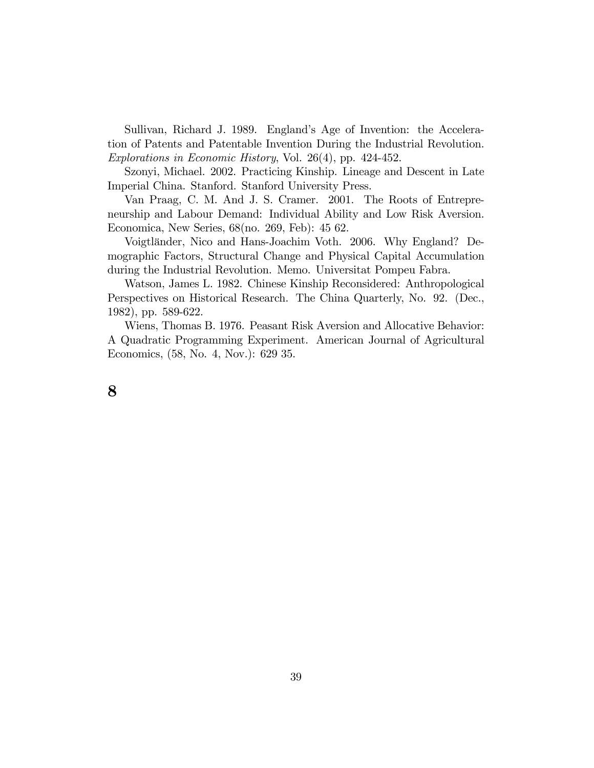Sullivan, Richard J. 1989. England's Age of Invention: the Acceleration of Patents and Patentable Invention During the Industrial Revolution. Explorations in Economic History, Vol. 26(4), pp. 424-452.

Szonyi, Michael. 2002. Practicing Kinship. Lineage and Descent in Late Imperial China. Stanford. Stanford University Press.

Van Praag, C. M. And J. S. Cramer. 2001. The Roots of Entrepreneurship and Labour Demand: Individual Ability and Low Risk Aversion. Economica, New Series, 68(no. 269, Feb): 45 62.

Voigtländer, Nico and Hans-Joachim Voth. 2006. Why England? Demographic Factors, Structural Change and Physical Capital Accumulation during the Industrial Revolution. Memo. Universitat Pompeu Fabra.

Watson, James L. 1982. Chinese Kinship Reconsidered: Anthropological Perspectives on Historical Research. The China Quarterly, No. 92. (Dec., 1982), pp. 589-622.

Wiens, Thomas B. 1976. Peasant Risk Aversion and Allocative Behavior: A Quadratic Programming Experiment. American Journal of Agricultural Economics, (58, No. 4, Nov.): 629 35.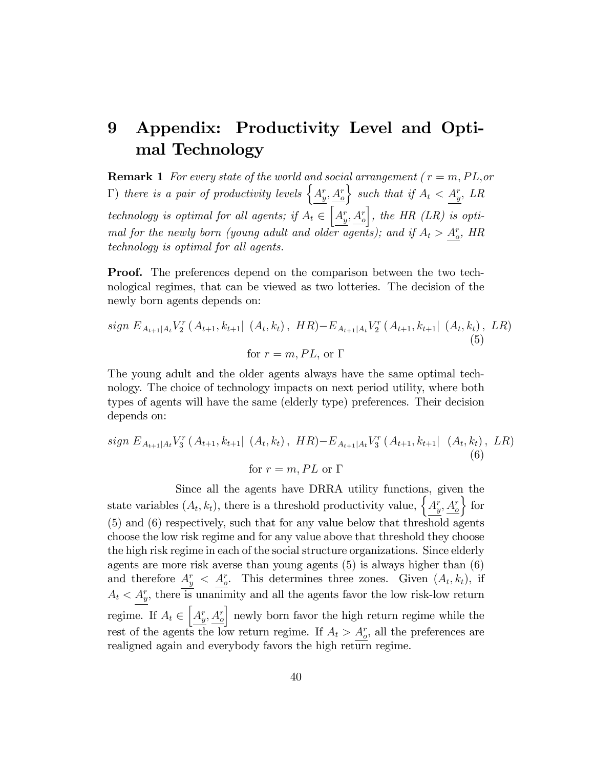## 9 Appendix: Productivity Level and Optimal Technology

**Remark 1** For every state of the world and social arrangement ( $r = m, PL, or$ )  $\Gamma$ ) there is a pair of productivity levels  $\Big\{A_y^r, A_\sigma^r\Big\}$  $\Big\}$  such that if  $A_t < A_y^r$ , LR technology is optimal for all agents; if  $A_t \in \left[ \underline{A_y^r}, \underline{A_o^r} \right]$ , the HR (LR) is optimal for the newly born (young adult and older agents); and if  $A_t > A_c^r$ , HR technology is optimal for all agents.

**Proof.** The preferences depend on the comparison between the two technological regimes, that can be viewed as two lotteries. The decision of the newly born agents depends on:

$$
sign E_{A_{t+1}|A_t} V_2^r(A_{t+1}, k_{t+1} | (A_t, k_t), HR) - E_{A_{t+1}|A_t} V_2^r(A_{t+1}, k_{t+1} | (A_t, k_t), LR)
$$
  
for  $r = m, PL$ , or  $\Gamma$  (5)

The young adult and the older agents always have the same optimal technology. The choice of technology impacts on next period utility, where both types of agents will have the same (elderly type) preferences. Their decision depends on:

$$
sign E_{A_{t+1}|A_t} V_3^r(A_{t+1}, k_{t+1} | (A_t, k_t), HR) - E_{A_{t+1}|A_t} V_3^r(A_{t+1}, k_{t+1} | (A_t, k_t), LR)
$$
  
for  $r = m, PL$  or  $\Gamma$  (6)

Since all the agents have DRRA utility functions, given the state variables  $(A_t, k_t)$ , there is a threshold productivity value,  $\left\{A_{y}^{r}, A_{\sigma}^{r}\right\}$  $\}$  for (5) and (6) respectively, such that for any value below that threshold agents choose the low risk regime and for any value above that threshold they choose the high risk regime in each of the social structure organizations. Since elderly agents are more risk averse than young agents (5) is always higher than (6) and therefore  $A_y^r < A_c^r$ . This determines three zones. Given  $(A_t, k_t)$ , if  $A_t < A_y^r$ , there is unanimity and all the agents favor the low risk-low return regime. If  $A_t \in \left[ \underline{A_y^r}, \underline{A_o^r} \right]$ I newly born favor the high return regime while the rest of the agents the low return regime. If  $A_t > A_c^r$ , all the preferences are realigned again and everybody favors the high return regime.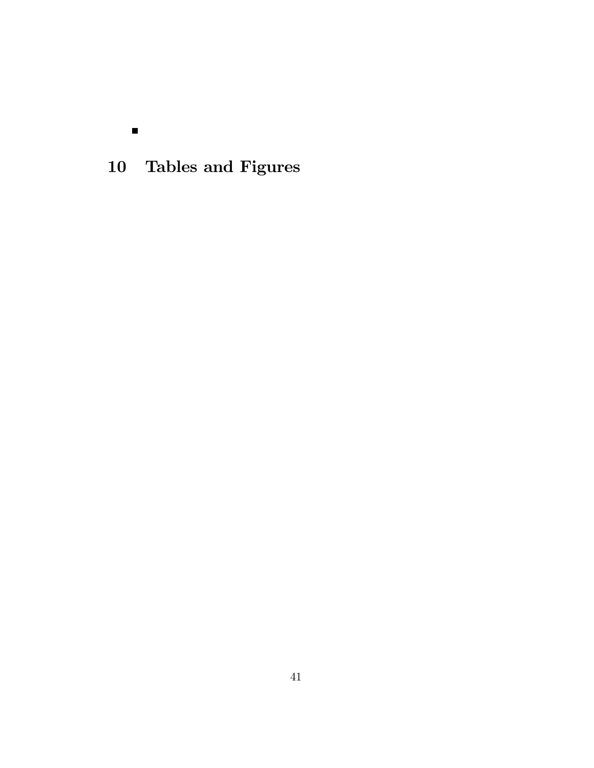10 Tables and Figures

 $\blacksquare$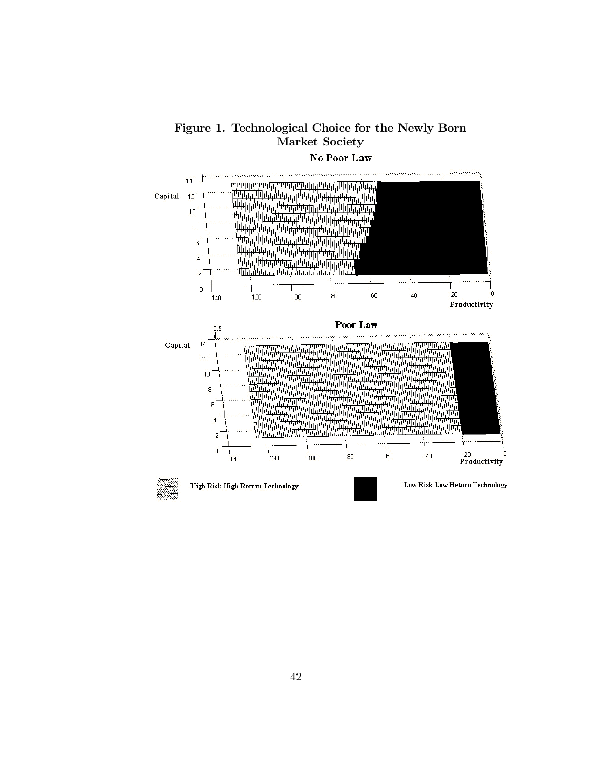

Figure 1. Technological Choice for the Newly Born Market Society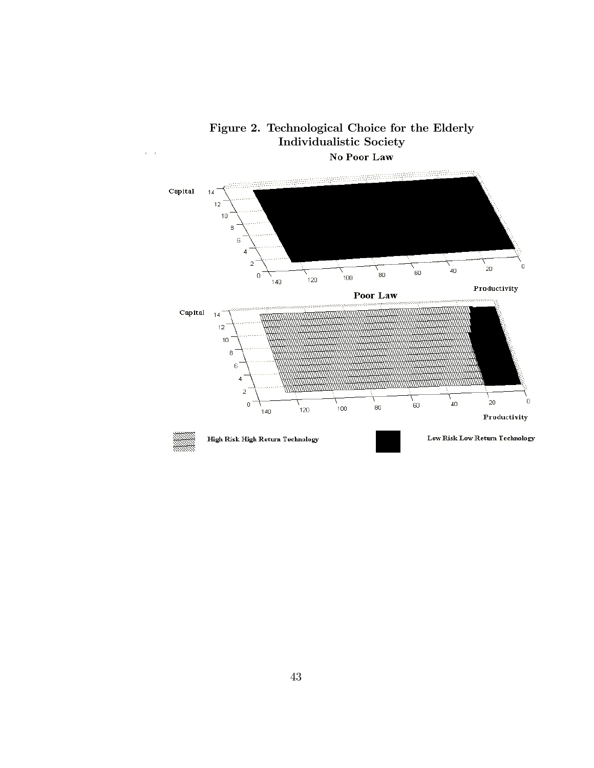

Figure 2. Technological Choice for the Elderly Individualistic Society No Poor Law

Ŷ.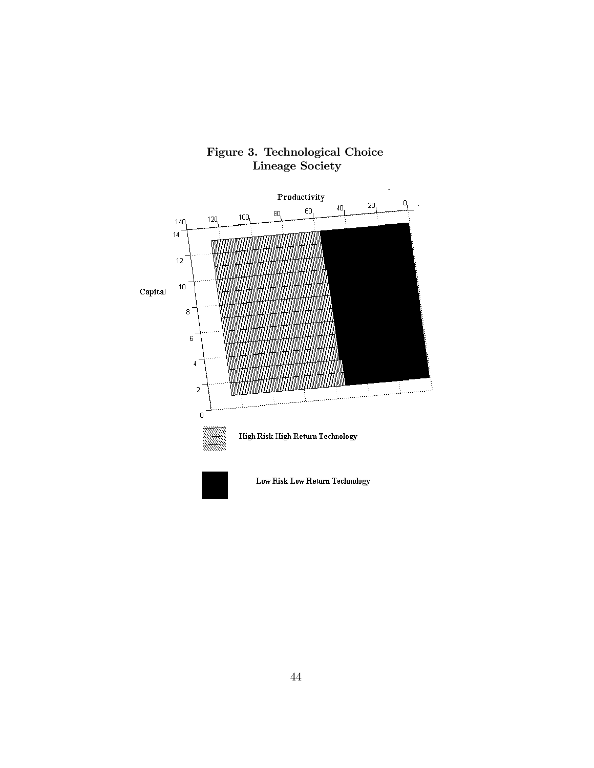

### Figure 3. Technological Choice Lineage Society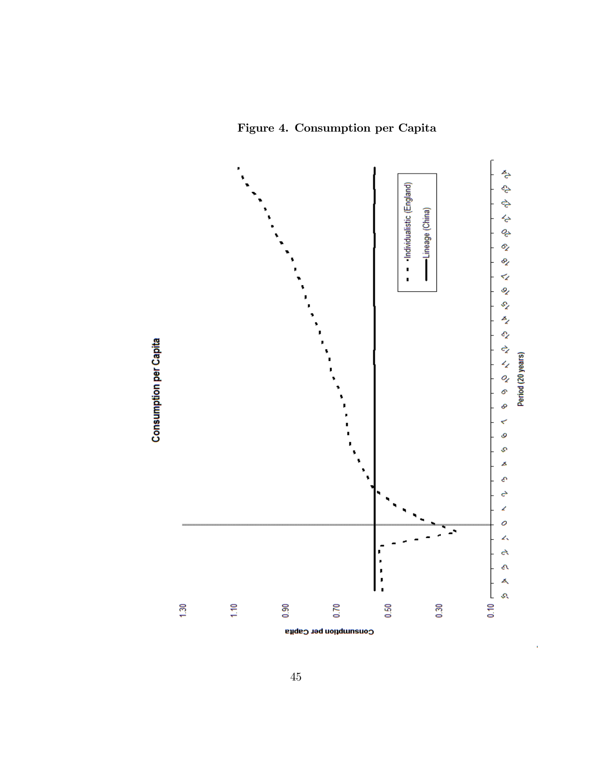Figure 4. Consumption per Capita



J.

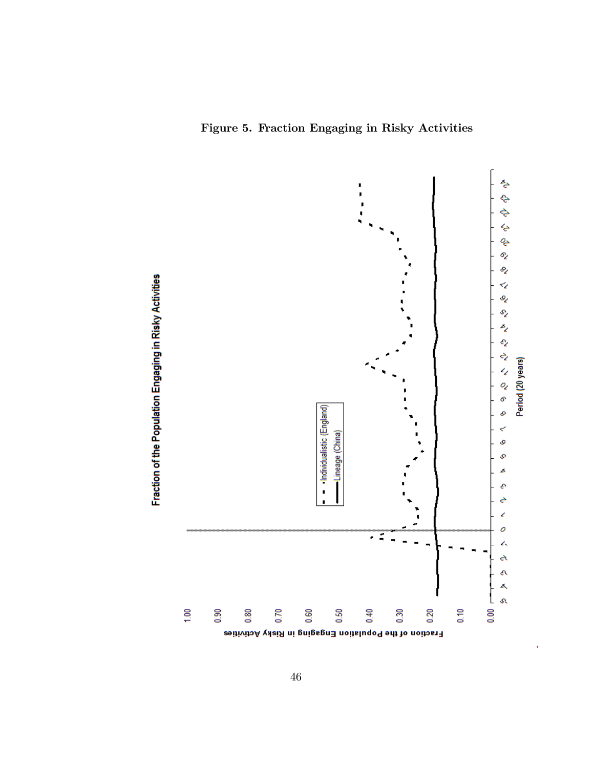Figure 5. Fraction Engaging in Risky Activities

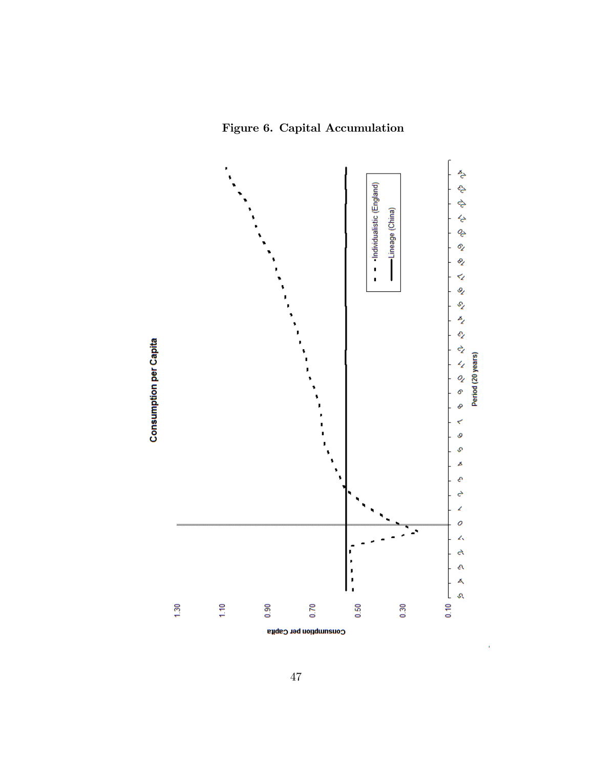Figure 6. Capital Accumulation